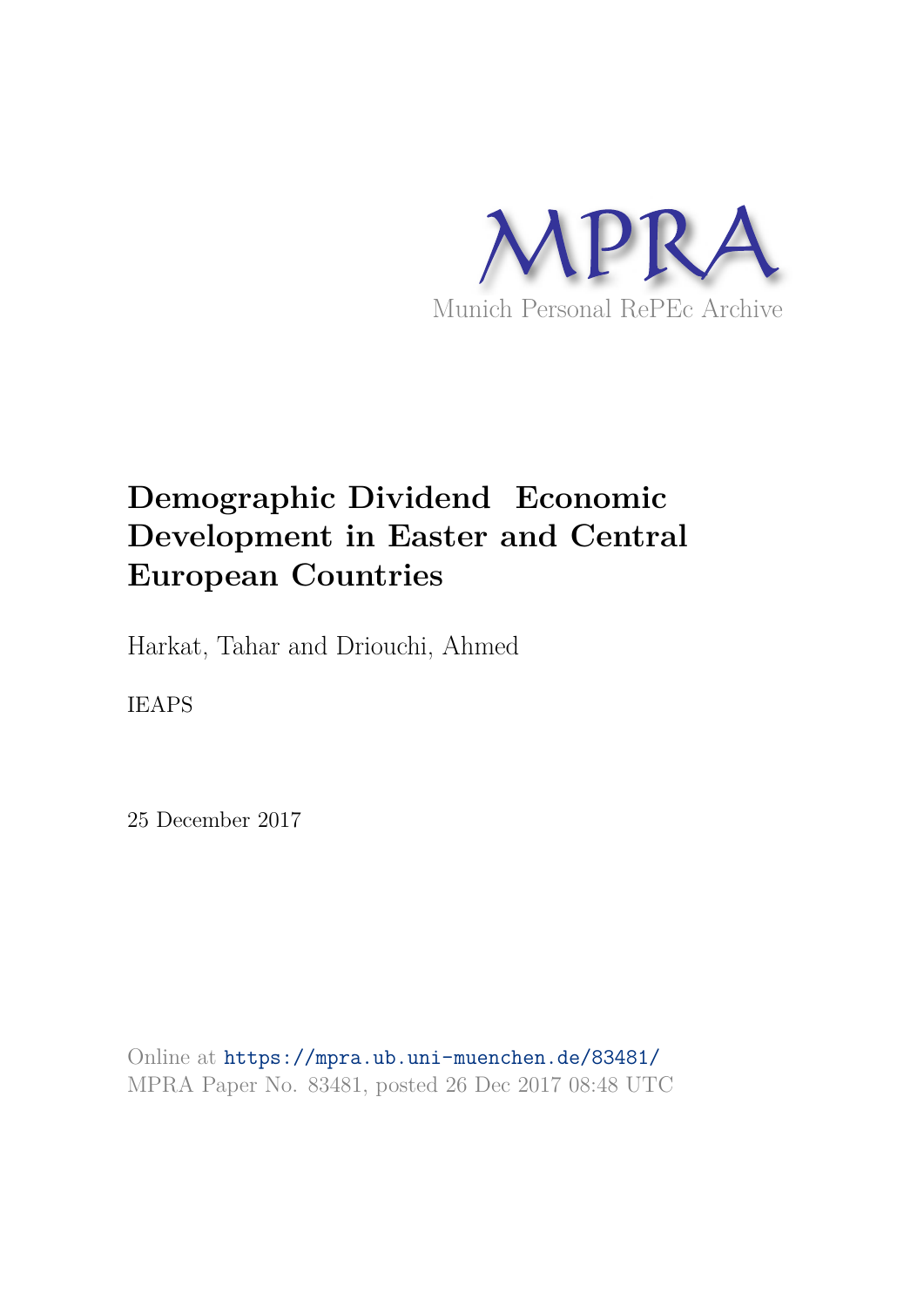

# **Demographic Dividend Economic Development in Easter and Central European Countries**

Harkat, Tahar and Driouchi, Ahmed

IEAPS

25 December 2017

Online at https://mpra.ub.uni-muenchen.de/83481/ MPRA Paper No. 83481, posted 26 Dec 2017 08:48 UTC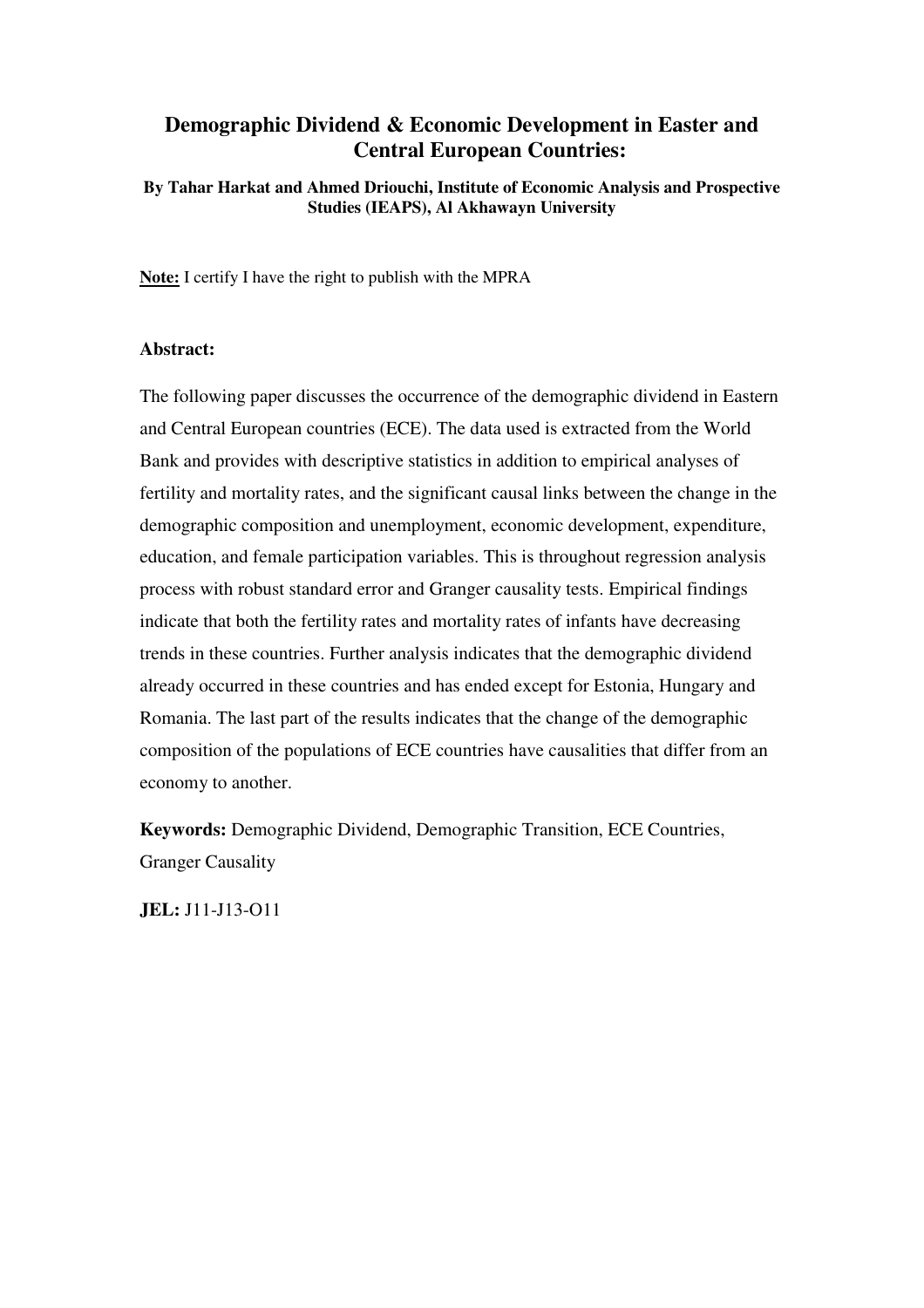### **Demographic Dividend & Economic Development in Easter and Central European Countries:**

**By Tahar Harkat and Ahmed Driouchi, Institute of Economic Analysis and Prospective Studies (IEAPS), Al Akhawayn University** 

**Note:** I certify I have the right to publish with the MPRA

### **Abstract:**

The following paper discusses the occurrence of the demographic dividend in Eastern and Central European countries (ECE). The data used is extracted from the World Bank and provides with descriptive statistics in addition to empirical analyses of fertility and mortality rates, and the significant causal links between the change in the demographic composition and unemployment, economic development, expenditure, education, and female participation variables. This is throughout regression analysis process with robust standard error and Granger causality tests. Empirical findings indicate that both the fertility rates and mortality rates of infants have decreasing trends in these countries. Further analysis indicates that the demographic dividend already occurred in these countries and has ended except for Estonia, Hungary and Romania. The last part of the results indicates that the change of the demographic composition of the populations of ECE countries have causalities that differ from an economy to another.

**Keywords:** Demographic Dividend, Demographic Transition, ECE Countries, Granger Causality

**JEL:** J11-J13-O11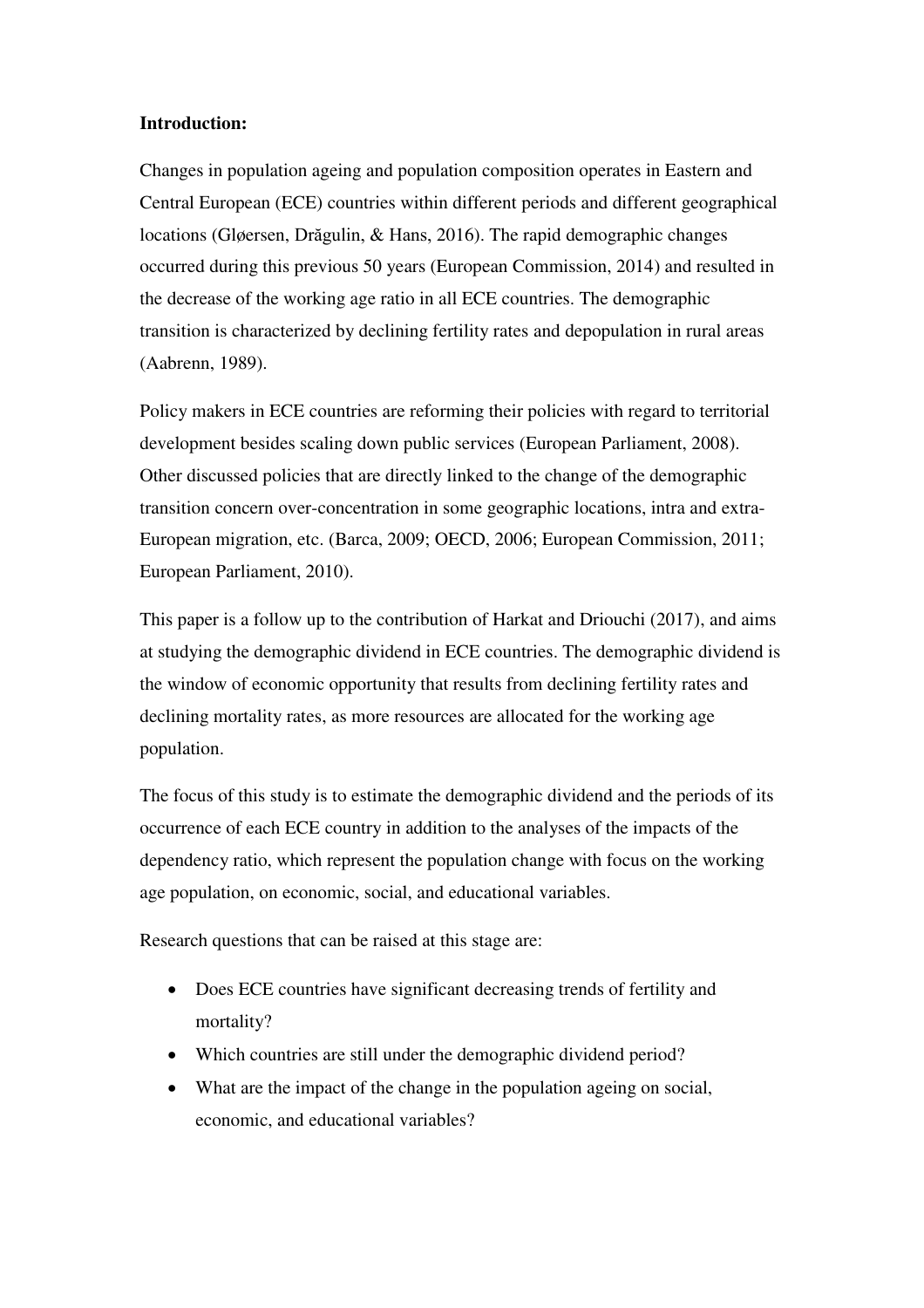### **Introduction:**

Changes in population ageing and population composition operates in Eastern and Central European (ECE) countries within different periods and different geographical locations (Gløersen, Drăgulin, & Hans, 2016). The rapid demographic changes occurred during this previous 50 years (European Commission, 2014) and resulted in the decrease of the working age ratio in all ECE countries. The demographic transition is characterized by declining fertility rates and depopulation in rural areas (Aabrenn, 1989).

Policy makers in ECE countries are reforming their policies with regard to territorial development besides scaling down public services (European Parliament, 2008). Other discussed policies that are directly linked to the change of the demographic transition concern over-concentration in some geographic locations, intra and extra-European migration, etc. (Barca, 2009; OECD, 2006; European Commission, 2011; European Parliament, 2010).

This paper is a follow up to the contribution of Harkat and Driouchi (2017), and aims at studying the demographic dividend in ECE countries. The demographic dividend is the window of economic opportunity that results from declining fertility rates and declining mortality rates, as more resources are allocated for the working age population.

The focus of this study is to estimate the demographic dividend and the periods of its occurrence of each ECE country in addition to the analyses of the impacts of the dependency ratio, which represent the population change with focus on the working age population, on economic, social, and educational variables.

Research questions that can be raised at this stage are:

- Does ECE countries have significant decreasing trends of fertility and mortality?
- Which countries are still under the demographic dividend period?
- What are the impact of the change in the population ageing on social, economic, and educational variables?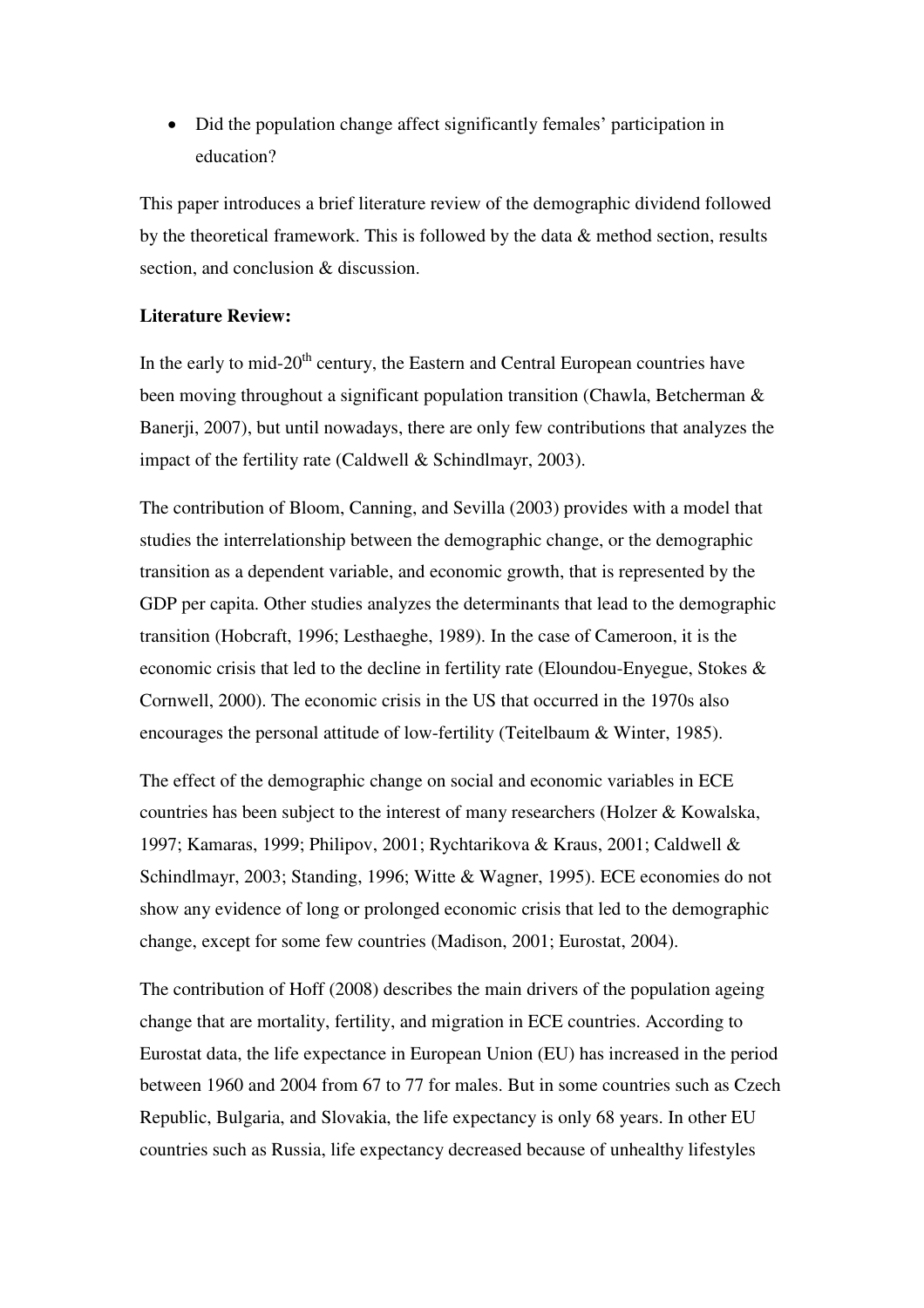Did the population change affect significantly females' participation in education?

This paper introduces a brief literature review of the demographic dividend followed by the theoretical framework. This is followed by the data & method section, results section, and conclusion & discussion.

### **Literature Review:**

In the early to mid- $20<sup>th</sup>$  century, the Eastern and Central European countries have been moving throughout a significant population transition (Chawla, Betcherman & Banerji, 2007), but until nowadays, there are only few contributions that analyzes the impact of the fertility rate (Caldwell & Schindlmayr, 2003).

The contribution of Bloom, Canning, and Sevilla (2003) provides with a model that studies the interrelationship between the demographic change, or the demographic transition as a dependent variable, and economic growth, that is represented by the GDP per capita. Other studies analyzes the determinants that lead to the demographic transition (Hobcraft, 1996; Lesthaeghe, 1989). In the case of Cameroon, it is the economic crisis that led to the decline in fertility rate (Eloundou-Enyegue, Stokes & Cornwell, 2000). The economic crisis in the US that occurred in the 1970s also encourages the personal attitude of low-fertility (Teitelbaum & Winter, 1985).

The effect of the demographic change on social and economic variables in ECE countries has been subject to the interest of many researchers (Holzer & Kowalska, 1997; Kamaras, 1999; Philipov, 2001; Rychtarikova & Kraus, 2001; Caldwell & Schindlmayr, 2003; Standing, 1996; Witte & Wagner, 1995). ECE economies do not show any evidence of long or prolonged economic crisis that led to the demographic change, except for some few countries (Madison, 2001; Eurostat, 2004).

The contribution of Hoff (2008) describes the main drivers of the population ageing change that are mortality, fertility, and migration in ECE countries. According to Eurostat data, the life expectance in European Union (EU) has increased in the period between 1960 and 2004 from 67 to 77 for males. But in some countries such as Czech Republic, Bulgaria, and Slovakia, the life expectancy is only 68 years. In other EU countries such as Russia, life expectancy decreased because of unhealthy lifestyles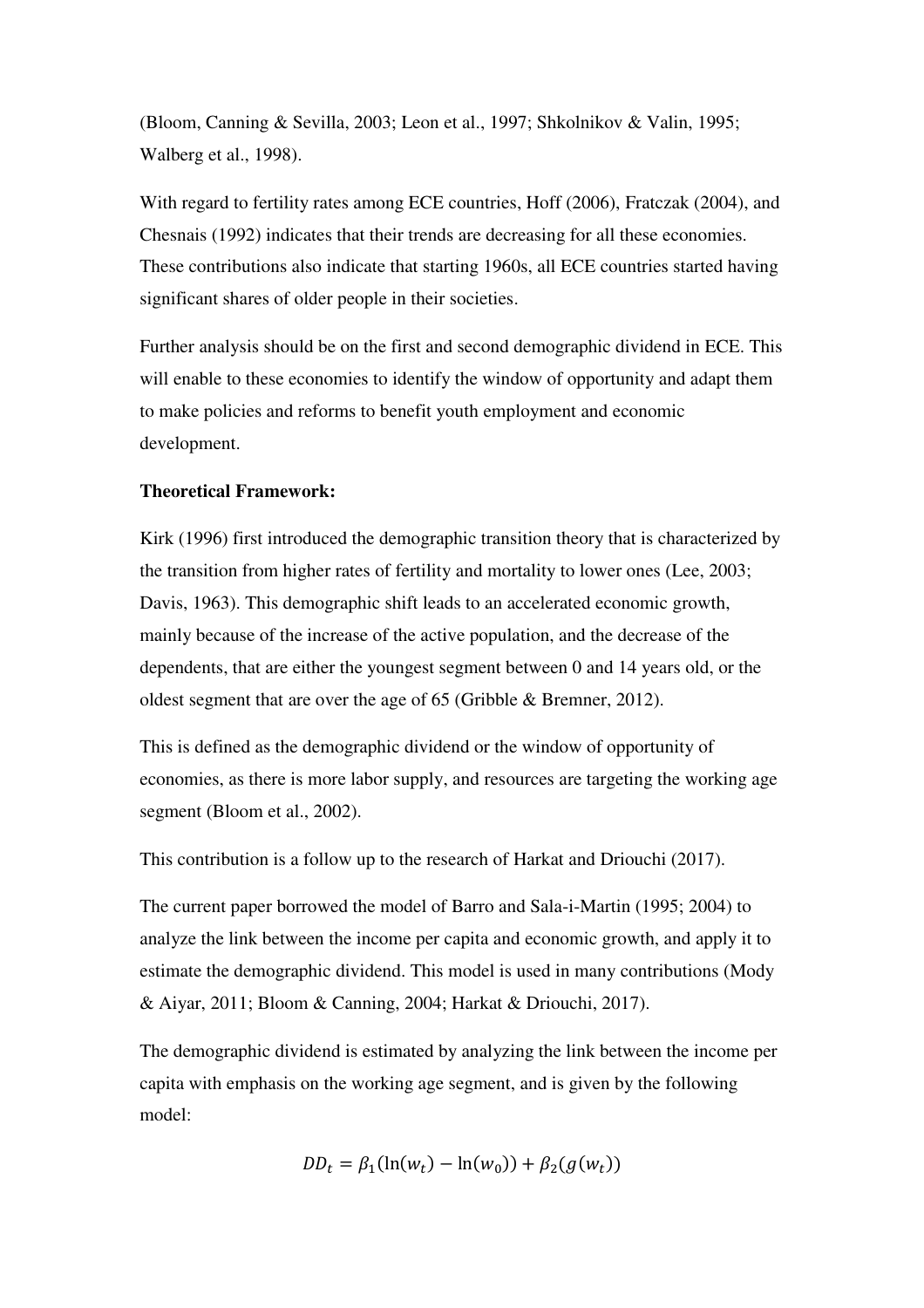(Bloom, Canning & Sevilla, 2003; Leon et al., 1997; Shkolnikov & Valin, 1995; Walberg et al., 1998).

With regard to fertility rates among ECE countries, Hoff (2006), Fratczak (2004), and Chesnais (1992) indicates that their trends are decreasing for all these economies. These contributions also indicate that starting 1960s, all ECE countries started having significant shares of older people in their societies.

Further analysis should be on the first and second demographic dividend in ECE. This will enable to these economies to identify the window of opportunity and adapt them to make policies and reforms to benefit youth employment and economic development.

### **Theoretical Framework:**

Kirk (1996) first introduced the demographic transition theory that is characterized by the transition from higher rates of fertility and mortality to lower ones (Lee, 2003; Davis, 1963). This demographic shift leads to an accelerated economic growth, mainly because of the increase of the active population, and the decrease of the dependents, that are either the youngest segment between 0 and 14 years old, or the oldest segment that are over the age of 65 (Gribble & Bremner, 2012).

This is defined as the demographic dividend or the window of opportunity of economies, as there is more labor supply, and resources are targeting the working age segment (Bloom et al., 2002).

This contribution is a follow up to the research of Harkat and Driouchi (2017).

The current paper borrowed the model of Barro and Sala-i-Martin (1995; 2004) to analyze the link between the income per capita and economic growth, and apply it to estimate the demographic dividend. This model is used in many contributions (Mody & Aiyar, 2011; Bloom & Canning, 2004; Harkat & Driouchi, 2017).

The demographic dividend is estimated by analyzing the link between the income per capita with emphasis on the working age segment, and is given by the following model:

$$
DD_t = \beta_1(\ln(w_t) - \ln(w_0)) + \beta_2(g(w_t))
$$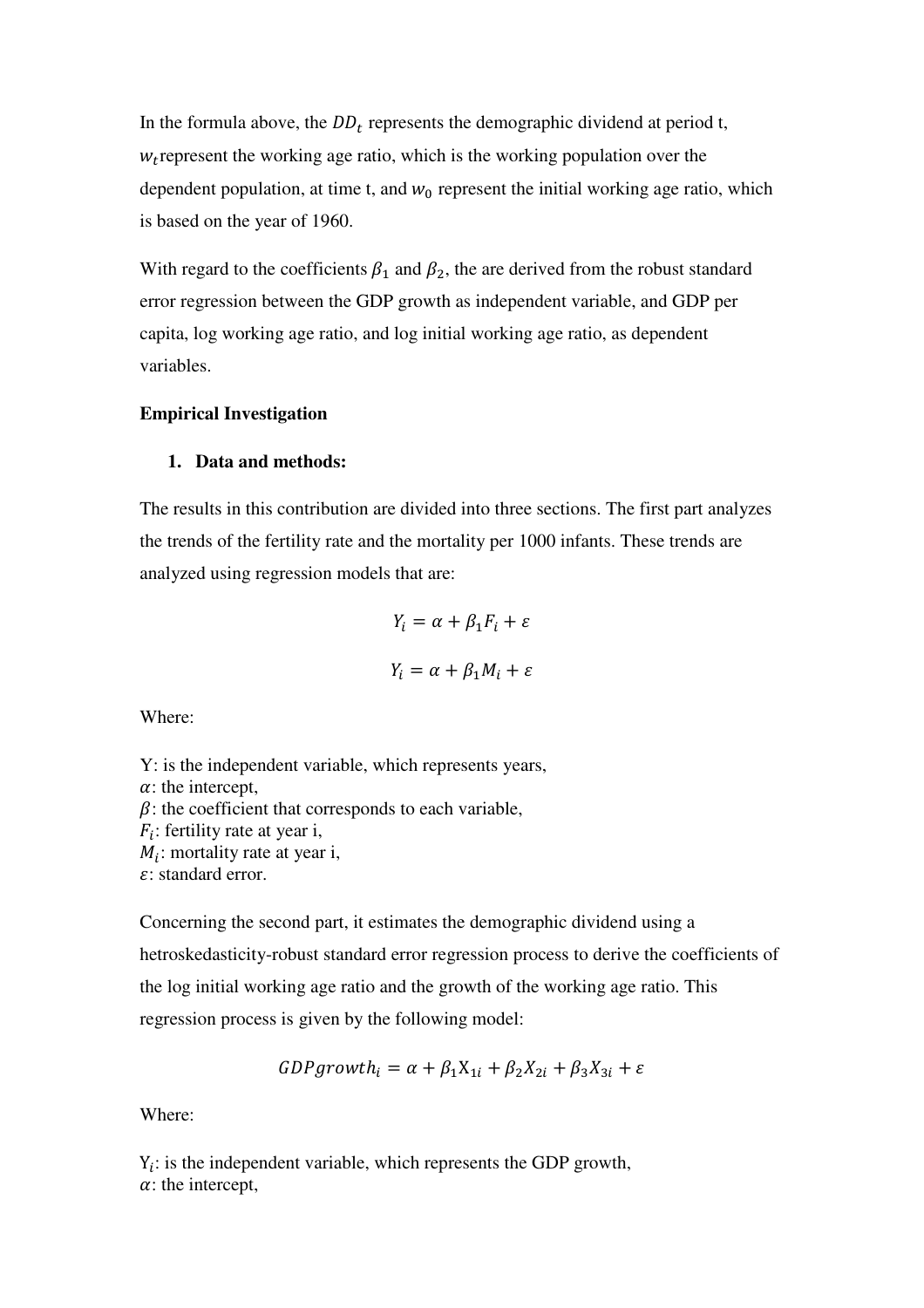In the formula above, the  $DD_t$  represents the demographic dividend at period t,  $w_t$  represent the working age ratio, which is the working population over the dependent population, at time t, and  $w_0$  represent the initial working age ratio, which is based on the year of 1960.

With regard to the coefficients  $\beta_1$  and  $\beta_2$ , the are derived from the robust standard error regression between the GDP growth as independent variable, and GDP per capita, log working age ratio, and log initial working age ratio, as dependent variables.

### **Empirical Investigation**

#### **1. Data and methods:**

The results in this contribution are divided into three sections. The first part analyzes the trends of the fertility rate and the mortality per 1000 infants. These trends are analyzed using regression models that are:

$$
Y_i = \alpha + \beta_1 F_i + \varepsilon
$$

$$
Y_i = \alpha + \beta_1 M_i + \varepsilon
$$

Where:

Y: is the independent variable, which represents years,  $\alpha$ : the intercept,  $\beta$ : the coefficient that corresponds to each variable,  $F_i$ : fertility rate at year i,  $M_i$ : mortality rate at year i,  $\varepsilon$ : standard error.

Concerning the second part, it estimates the demographic dividend using a hetroskedasticity-robust standard error regression process to derive the coefficients of the log initial working age ratio and the growth of the working age ratio. This regression process is given by the following model:

$$
GDP growth_i = \alpha + \beta_1 X_{1i} + \beta_2 X_{2i} + \beta_3 X_{3i} + \varepsilon
$$

Where:

 $Y_i$ : is the independent variable, which represents the GDP growth,  $\alpha$ : the intercept,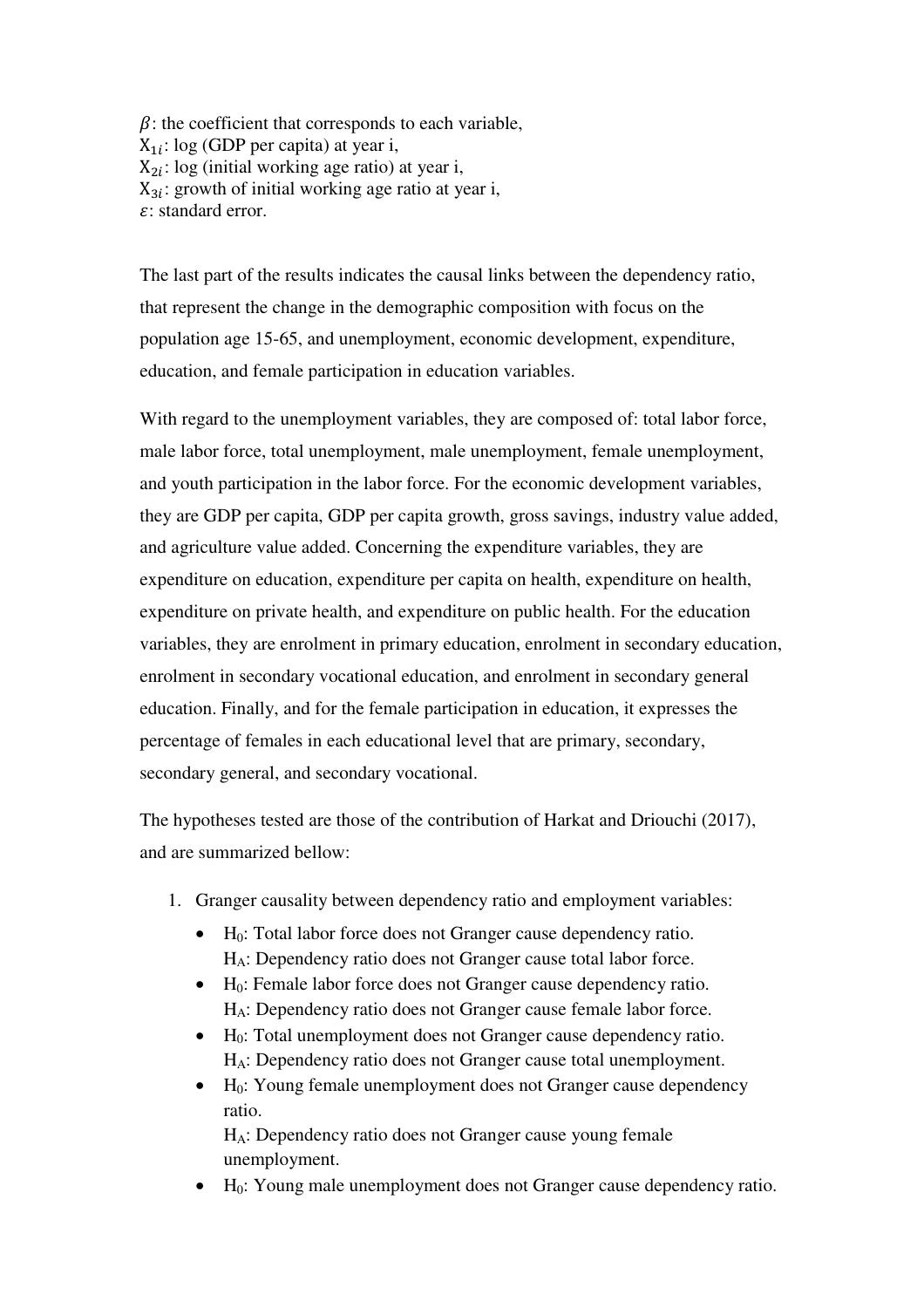$\beta$ : the coefficient that corresponds to each variable,  $X_{1i}$ : log (GDP per capita) at year i,  $X_{2i}$ : log (initial working age ratio) at year i,  $X_{3i}$ : growth of initial working age ratio at year i, : standard error.

The last part of the results indicates the causal links between the dependency ratio, that represent the change in the demographic composition with focus on the population age 15-65, and unemployment, economic development, expenditure, education, and female participation in education variables.

With regard to the unemployment variables, they are composed of: total labor force, male labor force, total unemployment, male unemployment, female unemployment, and youth participation in the labor force. For the economic development variables, they are GDP per capita, GDP per capita growth, gross savings, industry value added, and agriculture value added. Concerning the expenditure variables, they are expenditure on education, expenditure per capita on health, expenditure on health, expenditure on private health, and expenditure on public health. For the education variables, they are enrolment in primary education, enrolment in secondary education, enrolment in secondary vocational education, and enrolment in secondary general education. Finally, and for the female participation in education, it expresses the percentage of females in each educational level that are primary, secondary, secondary general, and secondary vocational.

The hypotheses tested are those of the contribution of Harkat and Driouchi (2017), and are summarized bellow:

- 1. Granger causality between dependency ratio and employment variables:
	- $H_0$ : Total labor force does not Granger cause dependency ratio. HA: Dependency ratio does not Granger cause total labor force.
	- $\bullet$  H<sub>0</sub>: Female labor force does not Granger cause dependency ratio. HA: Dependency ratio does not Granger cause female labor force.
	- $\bullet$  H<sub>0</sub>: Total unemployment does not Granger cause dependency ratio. HA: Dependency ratio does not Granger cause total unemployment.
	- $\bullet$  H<sub>0</sub>: Young female unemployment does not Granger cause dependency ratio.

HA: Dependency ratio does not Granger cause young female unemployment.

• H<sub>0</sub>: Young male unemployment does not Granger cause dependency ratio.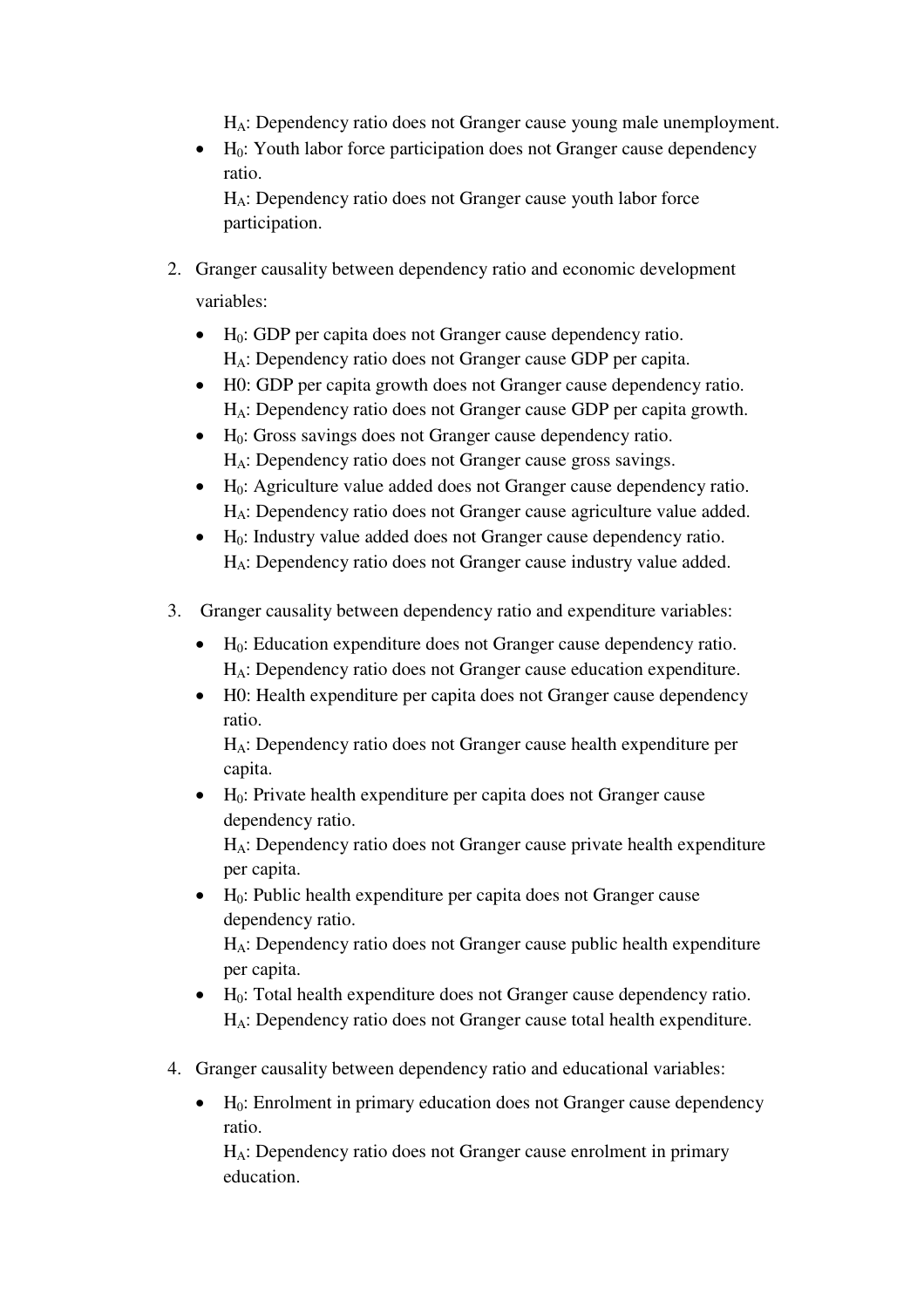HA: Dependency ratio does not Granger cause young male unemployment.

 $\bullet$  H<sub>0</sub>: Youth labor force participation does not Granger cause dependency ratio.

HA: Dependency ratio does not Granger cause youth labor force participation.

- 2. Granger causality between dependency ratio and economic development variables:
	- $\bullet$  H<sub>0</sub>: GDP per capita does not Granger cause dependency ratio. HA: Dependency ratio does not Granger cause GDP per capita.
	- H0: GDP per capita growth does not Granger cause dependency ratio. HA: Dependency ratio does not Granger cause GDP per capita growth.
	- H<sub>0</sub>: Gross savings does not Granger cause dependency ratio. HA: Dependency ratio does not Granger cause gross savings.
	- $\bullet$  H<sub>0</sub>: Agriculture value added does not Granger cause dependency ratio. HA: Dependency ratio does not Granger cause agriculture value added.
	- H0: Industry value added does not Granger cause dependency ratio. HA: Dependency ratio does not Granger cause industry value added.
- 3. Granger causality between dependency ratio and expenditure variables:
	- $\bullet$  H<sub>0</sub>: Education expenditure does not Granger cause dependency ratio. HA: Dependency ratio does not Granger cause education expenditure.
	- H0: Health expenditure per capita does not Granger cause dependency ratio.

HA: Dependency ratio does not Granger cause health expenditure per capita.

 $\bullet$  H<sub>0</sub>: Private health expenditure per capita does not Granger cause dependency ratio.

HA: Dependency ratio does not Granger cause private health expenditure per capita.

 $\bullet$  H<sub>0</sub>: Public health expenditure per capita does not Granger cause dependency ratio.

HA: Dependency ratio does not Granger cause public health expenditure per capita.

- $\bullet$  H<sub>0</sub>: Total health expenditure does not Granger cause dependency ratio. HA: Dependency ratio does not Granger cause total health expenditure.
- 4. Granger causality between dependency ratio and educational variables:
	- $\bullet$  H<sub>0</sub>: Enrolment in primary education does not Granger cause dependency ratio.

HA: Dependency ratio does not Granger cause enrolment in primary education.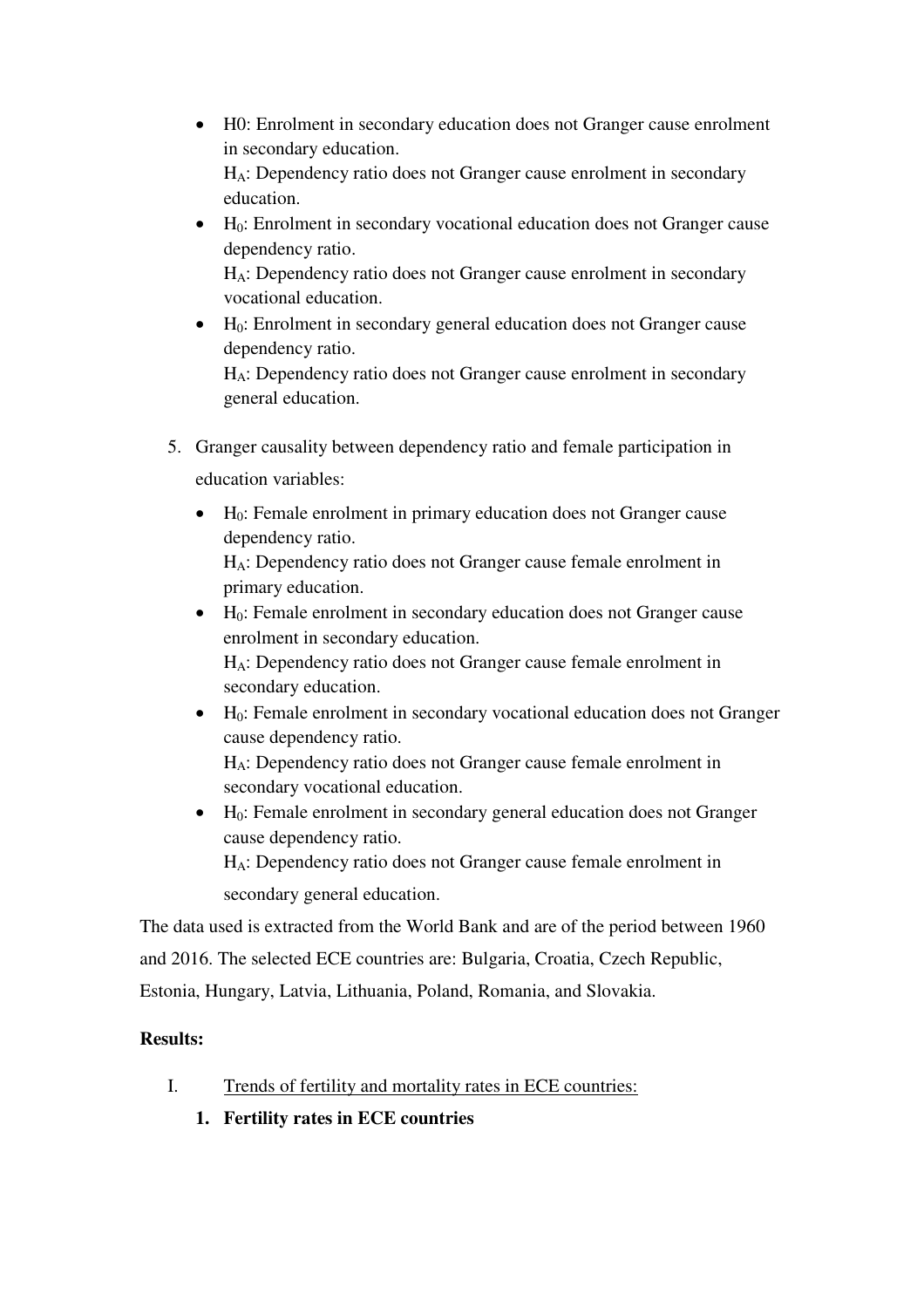- H0: Enrolment in secondary education does not Granger cause enrolment in secondary education. HA: Dependency ratio does not Granger cause enrolment in secondary education.
- $\bullet$  H<sub>0</sub>: Enrolment in secondary vocational education does not Granger cause dependency ratio.

HA: Dependency ratio does not Granger cause enrolment in secondary vocational education.

 $\bullet$  H<sub>0</sub>: Enrolment in secondary general education does not Granger cause dependency ratio.

HA: Dependency ratio does not Granger cause enrolment in secondary general education.

5. Granger causality between dependency ratio and female participation in education variables:

 $\bullet$  H<sub>0</sub>: Female enrolment in primary education does not Granger cause dependency ratio.

HA: Dependency ratio does not Granger cause female enrolment in primary education.

 $\bullet$  H<sub>0</sub>: Female enrolment in secondary education does not Granger cause enrolment in secondary education.

HA: Dependency ratio does not Granger cause female enrolment in secondary education.

 $\bullet$  H<sub>0</sub>: Female enrolment in secondary vocational education does not Granger cause dependency ratio.

HA: Dependency ratio does not Granger cause female enrolment in secondary vocational education.

 $\bullet$  H<sub>0</sub>: Female enrolment in secondary general education does not Granger cause dependency ratio. HA: Dependency ratio does not Granger cause female enrolment in

secondary general education.

The data used is extracted from the World Bank and are of the period between 1960 and 2016. The selected ECE countries are: Bulgaria, Croatia, Czech Republic, Estonia, Hungary, Latvia, Lithuania, Poland, Romania, and Slovakia.

### **Results:**

- I. Trends of fertility and mortality rates in ECE countries:
	- **1. Fertility rates in ECE countries**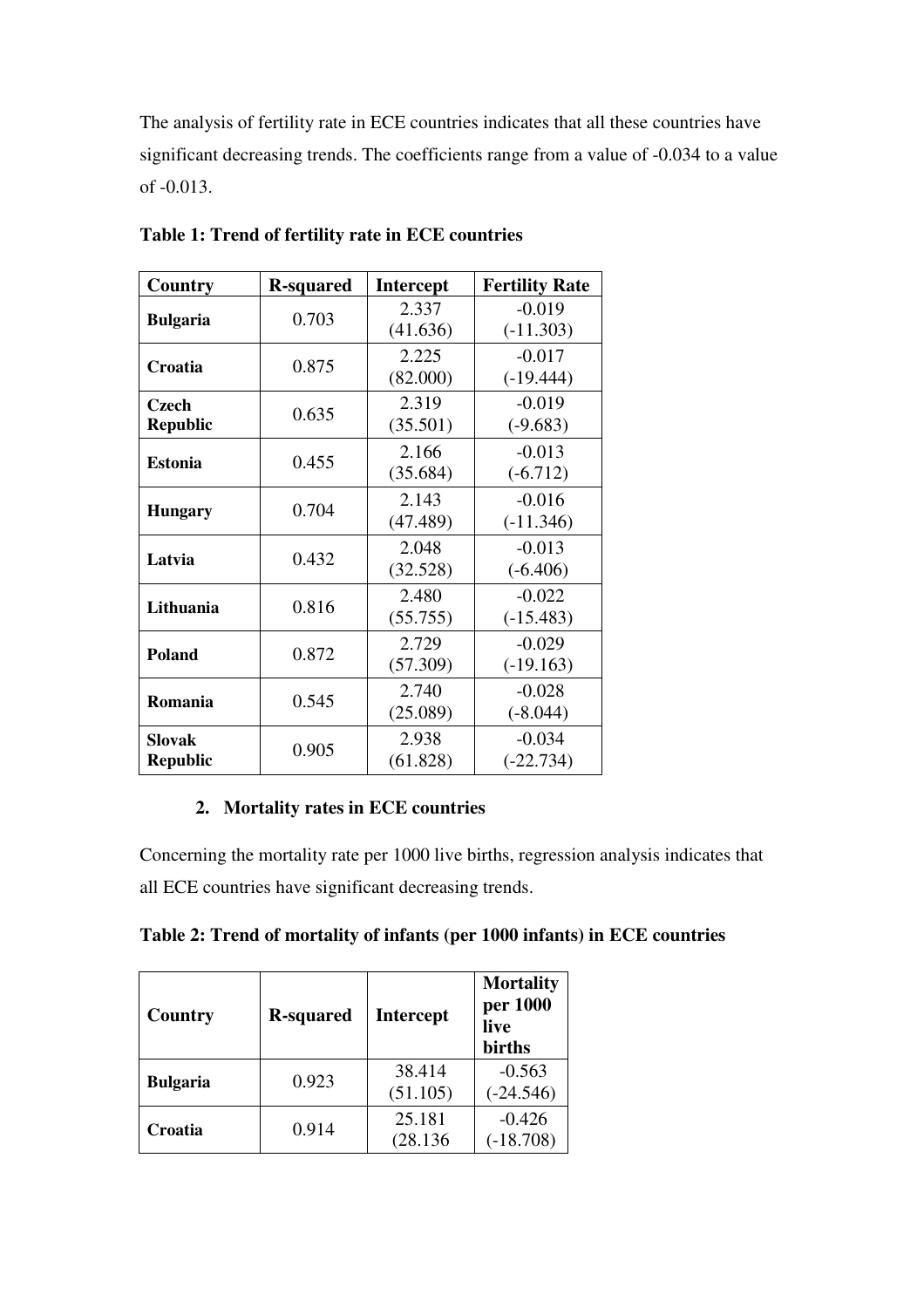The analysis of fertility rate in ECE countries indicates that all these countries have significant decreasing trends. The coefficients range from a value of -0.034 to a value of -0.013.

| Country         | <b>R-squared</b> | <b>Intercept</b> | <b>Fertility Rate</b> |
|-----------------|------------------|------------------|-----------------------|
| <b>Bulgaria</b> | 0.703            | 2.337            | $-0.019$              |
|                 |                  | (41.636)         | $(-11.303)$           |
| Croatia         | 0.875            | 2.225            | $-0.017$              |
|                 |                  | (82.000)         | $(-19.444)$           |
| <b>Czech</b>    | 0.635            | 2.319            | $-0.019$              |
| <b>Republic</b> |                  | (35.501)         | $(-9.683)$            |
| <b>Estonia</b>  | 0.455            | 2.166            | $-0.013$              |
|                 |                  | (35.684)         | $(-6.712)$            |
|                 | 0.704            | 2.143            | $-0.016$              |
| <b>Hungary</b>  |                  | (47.489)         | $(-11.346)$           |
| Latvia          | 0.432            | 2.048            | $-0.013$              |
|                 |                  | (32.528)         | $(-6.406)$            |
| Lithuania       | 0.816            | 2.480            | $-0.022$              |
|                 |                  | (55.755)         | $(-15.483)$           |
| <b>Poland</b>   | 0.872            | 2.729            | $-0.029$              |
|                 |                  | (57.309)         | $(-19.163)$           |
| Romania         | 0.545            | 2.740            | $-0.028$              |
|                 |                  | (25.089)         | $(-8.044)$            |
| Slovak          | 0.905            | 2.938            | $-0.034$              |
| <b>Republic</b> |                  | (61.828)         | $(-22.734)$           |

**Table 1: Trend of fertility rate in ECE countries** 

### **2. Mortality rates in ECE countries**

Concerning the mortality rate per 1000 live births, regression analysis indicates that all ECE countries have significant decreasing trends.

|  |  |  |  |  |  | Table 2: Trend of mortality of infants (per 1000 infants) in ECE countries |
|--|--|--|--|--|--|----------------------------------------------------------------------------|
|--|--|--|--|--|--|----------------------------------------------------------------------------|

| Country         | <b>R-squared</b> | <b>Intercept</b>   | <b>Mortality</b><br>per 1000<br>live<br>births |
|-----------------|------------------|--------------------|------------------------------------------------|
| <b>Bulgaria</b> | 0.923            | 38.414<br>(51.105) | $-0.563$<br>$(-24.546)$                        |
| Croatia         | 0.914            | 25.181<br>(28.136) | $-0.426$<br>$(-18.708)$                        |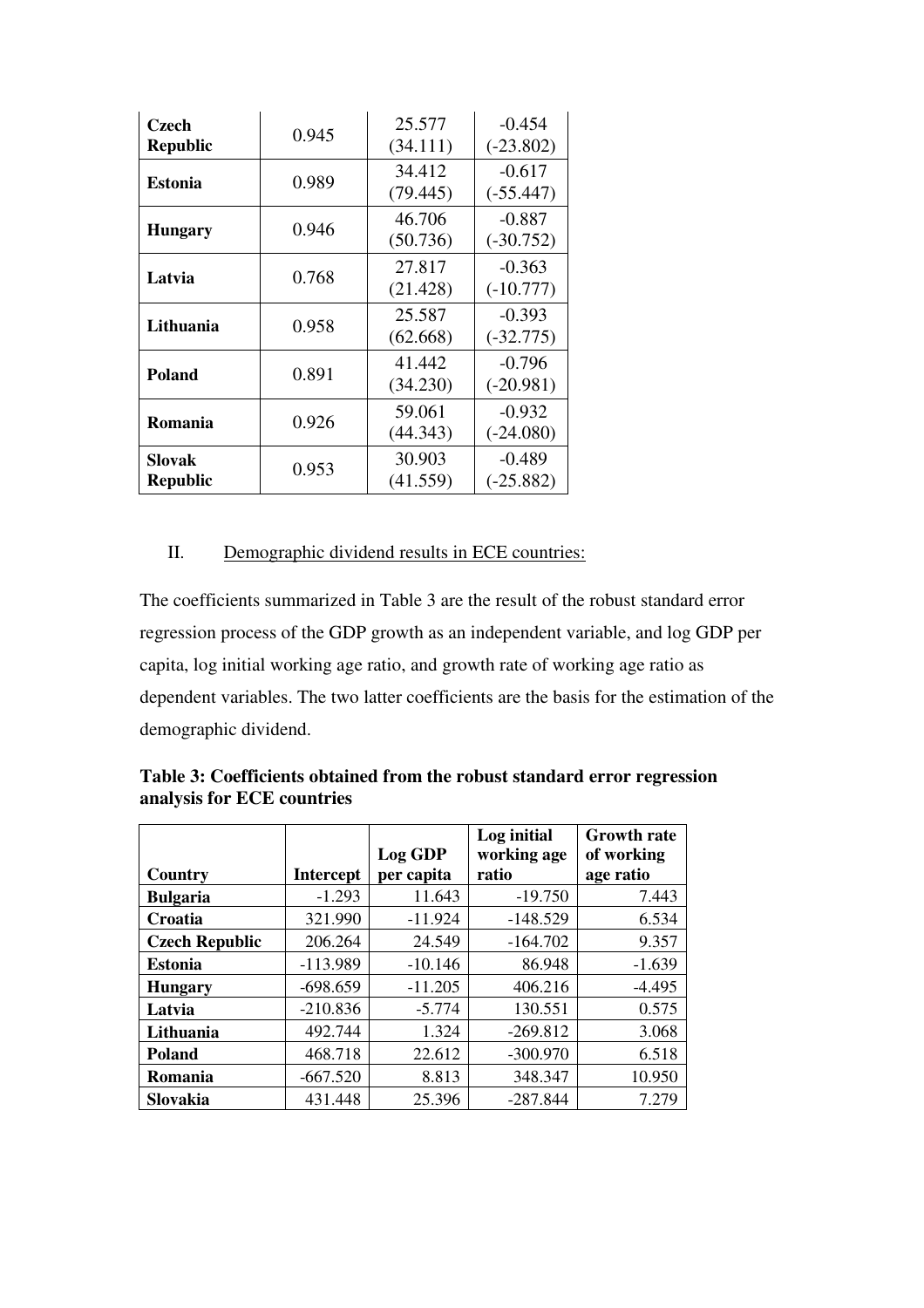| Czech<br><b>Republic</b>  | 0.945 | 25.577<br>(34.111) | $-0.454$<br>$(-23.802)$ |
|---------------------------|-------|--------------------|-------------------------|
| <b>Estonia</b>            | 0.989 | 34.412<br>(79.445) | $-0.617$<br>$(-55.447)$ |
| <b>Hungary</b>            | 0.946 | 46.706<br>(50.736) | $-0.887$<br>$(-30.752)$ |
| Latvia                    | 0.768 | 27.817<br>(21.428) | $-0.363$<br>$(-10.777)$ |
| Lithuania                 | 0.958 | 25.587<br>(62.668) | $-0.393$<br>$(-32.775)$ |
| <b>Poland</b>             | 0.891 | 41.442<br>(34.230) | $-0.796$<br>$(-20.981)$ |
| Romania                   | 0.926 | 59.061<br>(44.343) | $-0.932$<br>$(-24.080)$ |
| Slovak<br><b>Republic</b> | 0.953 | 30.903<br>(41.559) | $-0.489$<br>$(-25.882)$ |

### II. Demographic dividend results in ECE countries:

The coefficients summarized in Table 3 are the result of the robust standard error regression process of the GDP growth as an independent variable, and log GDP per capita, log initial working age ratio, and growth rate of working age ratio as dependent variables. The two latter coefficients are the basis for the estimation of the demographic dividend.

|                       |            | Log GDP    | Log initial<br>working age | <b>Growth rate</b><br>of working |
|-----------------------|------------|------------|----------------------------|----------------------------------|
| Country               | Intercept  | per capita | ratio                      | age ratio                        |
| <b>Bulgaria</b>       | $-1.293$   | 11.643     | $-19.750$                  | 7.443                            |
| Croatia               | 321.990    | $-11.924$  | $-148.529$                 | 6.534                            |
| <b>Czech Republic</b> | 206.264    | 24.549     | $-164.702$                 | 9.357                            |
| <b>Estonia</b>        | $-113.989$ | $-10.146$  | 86.948                     | $-1.639$                         |
| <b>Hungary</b>        | $-698.659$ | $-11.205$  | 406.216                    | $-4.495$                         |
| Latvia                | $-210.836$ | $-5.774$   | 130.551                    | 0.575                            |
| Lithuania             | 492.744    | 1.324      | $-269.812$                 | 3.068                            |
| <b>Poland</b>         | 468.718    | 22.612     | $-300.970$                 | 6.518                            |
| Romania               | $-667.520$ | 8.813      | 348.347                    | 10.950                           |
| Slovakia              | 431.448    | 25.396     | $-287.844$                 | 7.279                            |

**Table 3: Coefficients obtained from the robust standard error regression analysis for ECE countries**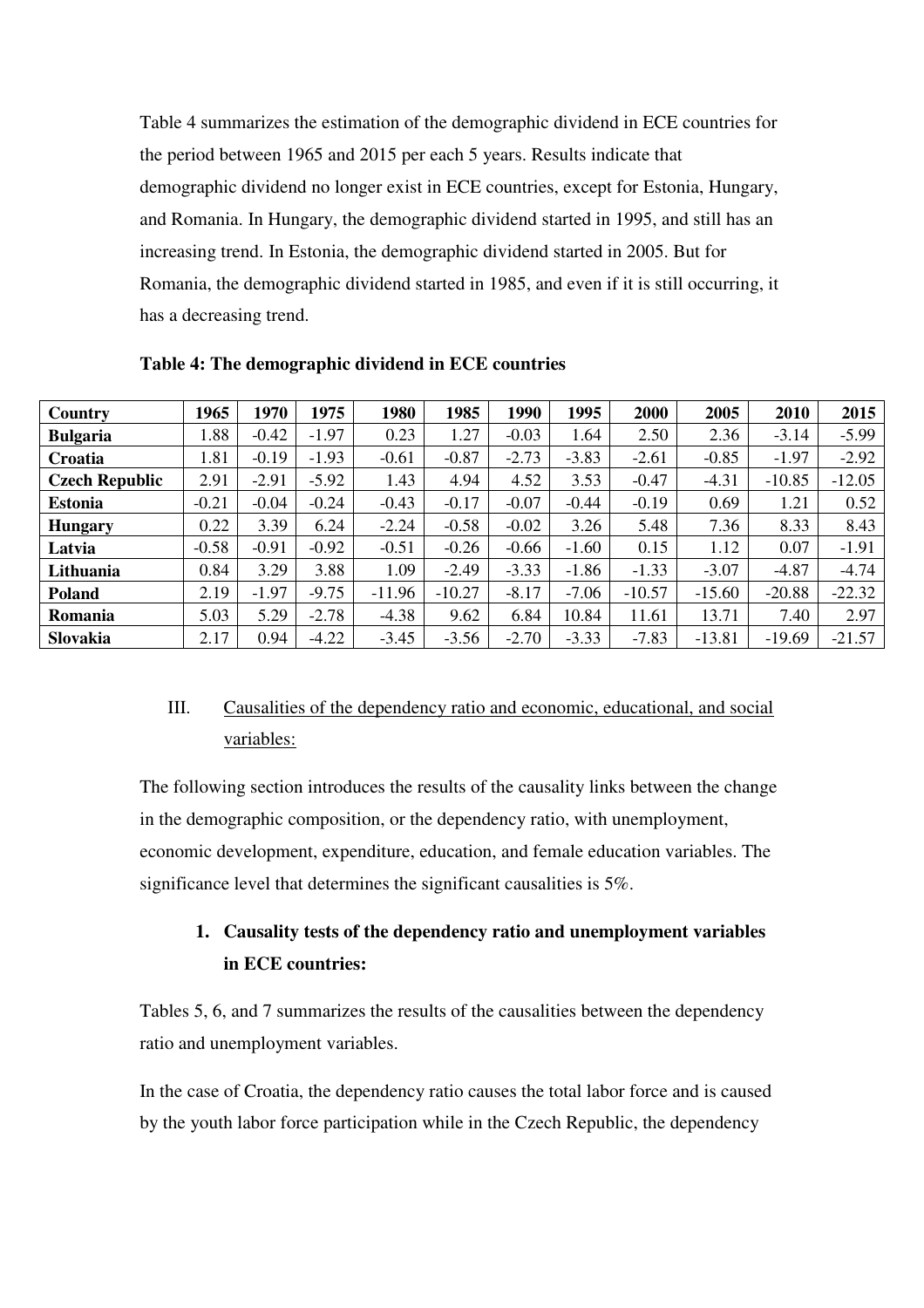Table 4 summarizes the estimation of the demographic dividend in ECE countries for the period between 1965 and 2015 per each 5 years. Results indicate that demographic dividend no longer exist in ECE countries, except for Estonia, Hungary, and Romania. In Hungary, the demographic dividend started in 1995, and still has an increasing trend. In Estonia, the demographic dividend started in 2005. But for Romania, the demographic dividend started in 1985, and even if it is still occurring, it has a decreasing trend.

| Country               | 1965    | 1970    | 1975    | 1980     | 1985     | 1990    | 1995    | 2000     | 2005     | 2010     | 2015     |
|-----------------------|---------|---------|---------|----------|----------|---------|---------|----------|----------|----------|----------|
| <b>Bulgaria</b>       | 1.88    | $-0.42$ | $-1.97$ | 0.23     | 1.27     | $-0.03$ | 1.64    | 2.50     | 2.36     | $-3.14$  | $-5.99$  |
| Croatia               | 1.81    | $-0.19$ | $-1.93$ | $-0.61$  | $-0.87$  | $-2.73$ | $-3.83$ | $-2.61$  | $-0.85$  | $-1.97$  | $-2.92$  |
| <b>Czech Republic</b> | 2.91    | $-2.91$ | $-5.92$ | 1.43     | 4.94     | 4.52    | 3.53    | $-0.47$  | $-4.31$  | $-10.85$ | $-12.05$ |
| <b>Estonia</b>        | $-0.21$ | $-0.04$ | $-0.24$ | $-0.43$  | $-0.17$  | $-0.07$ | $-0.44$ | $-0.19$  | 0.69     | 1.21     | 0.52     |
| <b>Hungary</b>        | 0.22    | 3.39    | 6.24    | $-2.24$  | $-0.58$  | $-0.02$ | 3.26    | 5.48     | 7.36     | 8.33     | 8.43     |
| Latvia                | $-0.58$ | $-0.91$ | $-0.92$ | $-0.51$  | $-0.26$  | $-0.66$ | $-1.60$ | 0.15     | 1.12     | 0.07     | $-1.91$  |
| Lithuania             | 0.84    | 3.29    | 3.88    | 1.09     | $-2.49$  | $-3.33$ | $-1.86$ | $-1.33$  | $-3.07$  | $-4.87$  | $-4.74$  |
| Poland                | 2.19    | $-1.97$ | $-9.75$ | $-11.96$ | $-10.27$ | $-8.17$ | $-7.06$ | $-10.57$ | $-15.60$ | $-20.88$ | $-22.32$ |
| Romania               | 5.03    | 5.29    | $-2.78$ | $-4.38$  | 9.62     | 6.84    | 10.84   | 11.61    | 13.71    | 7.40     | 2.97     |
| <b>Slovakia</b>       | 2.17    | 0.94    | $-4.22$ | $-3.45$  | $-3.56$  | $-2.70$ | $-3.33$ | $-7.83$  | $-13.81$ | $-19.69$ | $-21.57$ |

**Table 4: The demographic dividend in ECE countries** 

# III. Causalities of the dependency ratio and economic, educational, and social variables:

The following section introduces the results of the causality links between the change in the demographic composition, or the dependency ratio, with unemployment, economic development, expenditure, education, and female education variables. The significance level that determines the significant causalities is 5%.

# **1. Causality tests of the dependency ratio and unemployment variables in ECE countries:**

Tables 5, 6, and 7 summarizes the results of the causalities between the dependency ratio and unemployment variables.

In the case of Croatia, the dependency ratio causes the total labor force and is caused by the youth labor force participation while in the Czech Republic, the dependency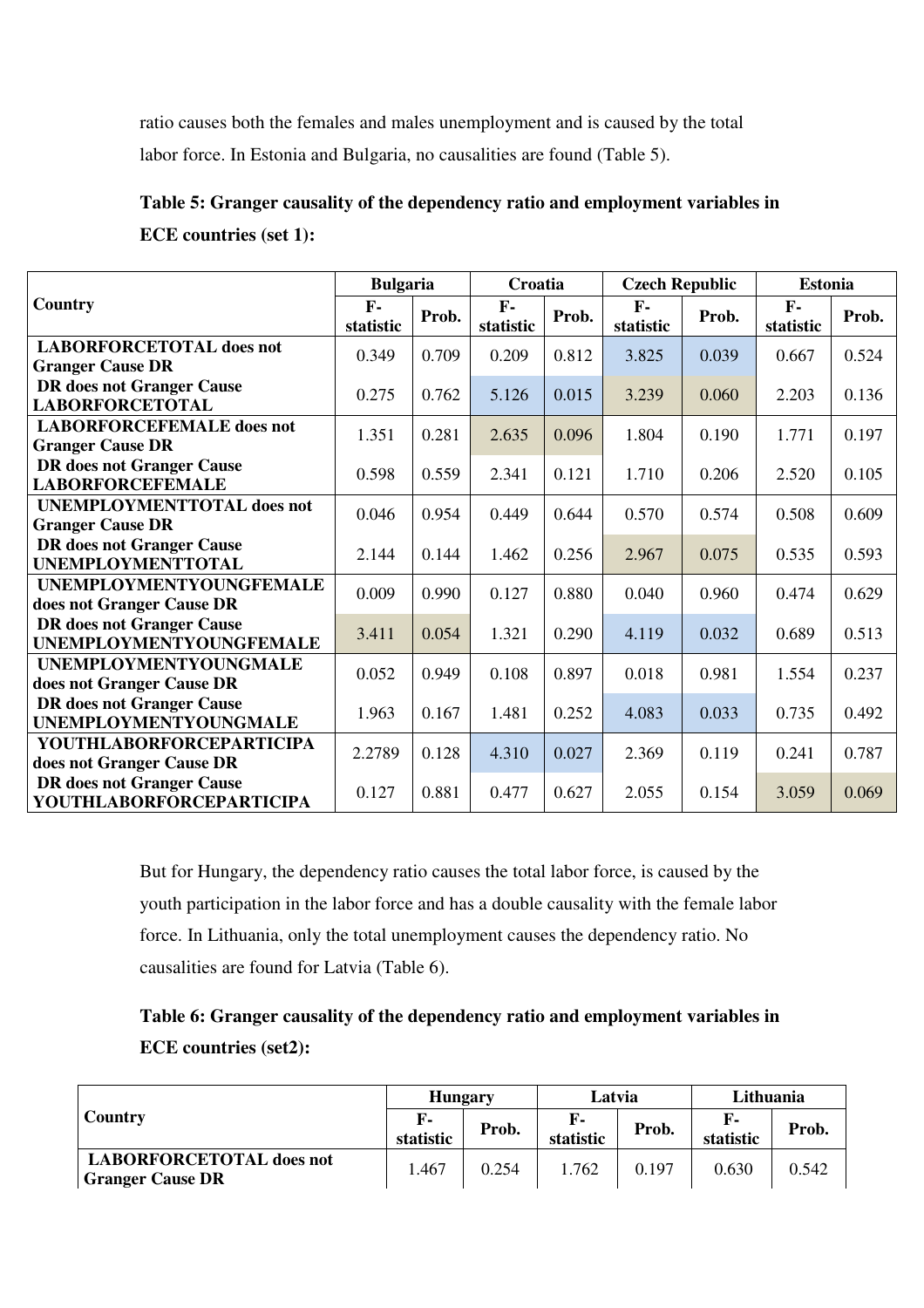ratio causes both the females and males unemployment and is caused by the total labor force. In Estonia and Bulgaria, no causalities are found (Table 5).

**Table 5: Granger causality of the dependency ratio and employment variables in ECE countries (set 1):** 

|                                                                    | <b>Bulgaria</b>    |       | Croatia                   |       | <b>Czech Republic</b> |       | <b>Estonia</b>     |       |
|--------------------------------------------------------------------|--------------------|-------|---------------------------|-------|-----------------------|-------|--------------------|-------|
| Country                                                            | $F -$<br>statistic | Prob. | $\mathbf{F}$<br>statistic | Prob. | $F -$<br>statistic    | Prob. | $F -$<br>statistic | Prob. |
| <b>LABORFORCETOTAL does not</b>                                    | 0.349              | 0.709 | 0.209                     | 0.812 | 3.825                 | 0.039 | 0.667              | 0.524 |
| <b>Granger Cause DR</b><br><b>DR</b> does not Granger Cause        |                    |       |                           |       |                       |       |                    |       |
| <b>LABORFORCETOTAL</b>                                             | 0.275              | 0.762 | 5.126                     | 0.015 | 3.239                 | 0.060 | 2.203              | 0.136 |
| <b>LABORFORCEFEMALE</b> does not                                   | 1.351              | 0.281 | 2.635                     | 0.096 | 1.804                 | 0.190 | 1.771              | 0.197 |
| <b>Granger Cause DR</b>                                            |                    |       |                           |       |                       |       |                    |       |
| <b>DR</b> does not Granger Cause<br><b>LABORFORCEFEMALE</b>        | 0.598              | 0.559 | 2.341                     | 0.121 | 1.710                 | 0.206 | 2.520              | 0.105 |
| <b>UNEMPLOYMENTTOTAL does not</b>                                  | 0.046              | 0.954 | 0.449                     | 0.644 | 0.570                 | 0.574 | 0.508              | 0.609 |
| <b>Granger Cause DR</b>                                            |                    |       |                           |       |                       |       |                    |       |
| <b>DR</b> does not Granger Cause<br><b>UNEMPLOYMENTTOTAL</b>       | 2.144              | 0.144 | 1.462                     | 0.256 | 2.967                 | 0.075 | 0.535              | 0.593 |
| <b>UNEMPLOYMENTYOUNGFEMALE</b>                                     | 0.009              | 0.990 | 0.127                     | 0.880 | 0.040                 | 0.960 |                    |       |
| does not Granger Cause DR                                          |                    |       |                           |       |                       |       | 0.474              | 0.629 |
| <b>DR</b> does not Granger Cause<br><b>UNEMPLOYMENTYOUNGFEMALE</b> | 3.411              | 0.054 | 1.321                     | 0.290 | 4.119                 | 0.032 | 0.689              | 0.513 |
| <b>UNEMPLOYMENTYOUNGMALE</b>                                       |                    |       |                           |       |                       |       |                    |       |
| does not Granger Cause DR                                          | 0.052              | 0.949 | 0.108                     | 0.897 | 0.018                 | 0.981 | 1.554              | 0.237 |
| <b>DR</b> does not Granger Cause                                   | 1.963              | 0.167 | 1.481                     | 0.252 | 4.083                 | 0.033 | 0.735              | 0.492 |
| <b>UNEMPLOYMENTYOUNGMALE</b>                                       |                    |       |                           |       |                       |       |                    |       |
| <b>YOUTHLABORFORCEPARTICIPA</b><br>does not Granger Cause DR       | 2.2789             | 0.128 | 4.310                     | 0.027 | 2.369                 | 0.119 | 0.241              | 0.787 |
| <b>DR</b> does not Granger Cause                                   |                    |       |                           |       |                       |       |                    |       |
| <b>YOUTHLABORFORCEPARTICIPA</b>                                    | 0.127              | 0.881 | 0.477                     | 0.627 | 2.055                 | 0.154 | 3.059              | 0.069 |

But for Hungary, the dependency ratio causes the total labor force, is caused by the youth participation in the labor force and has a double causality with the female labor force. In Lithuania, only the total unemployment causes the dependency ratio. No causalities are found for Latvia (Table 6).

**Table 6: Granger causality of the dependency ratio and employment variables in ECE countries (set2):**

|                                                            | <b>Hungary</b>  |       | Latvia          |       | Lithuania              |       |
|------------------------------------------------------------|-----------------|-------|-----------------|-------|------------------------|-------|
| <b>Country</b>                                             | F-<br>statistic | Prob. | F-<br>statistic | Prob. | <b>F.</b><br>statistic | Prob. |
| <b>LABORFORCETOTAL does not</b><br><b>Granger Cause DR</b> | .467            | 0.254 | .762            | 0.197 | 0.630                  | 0.542 |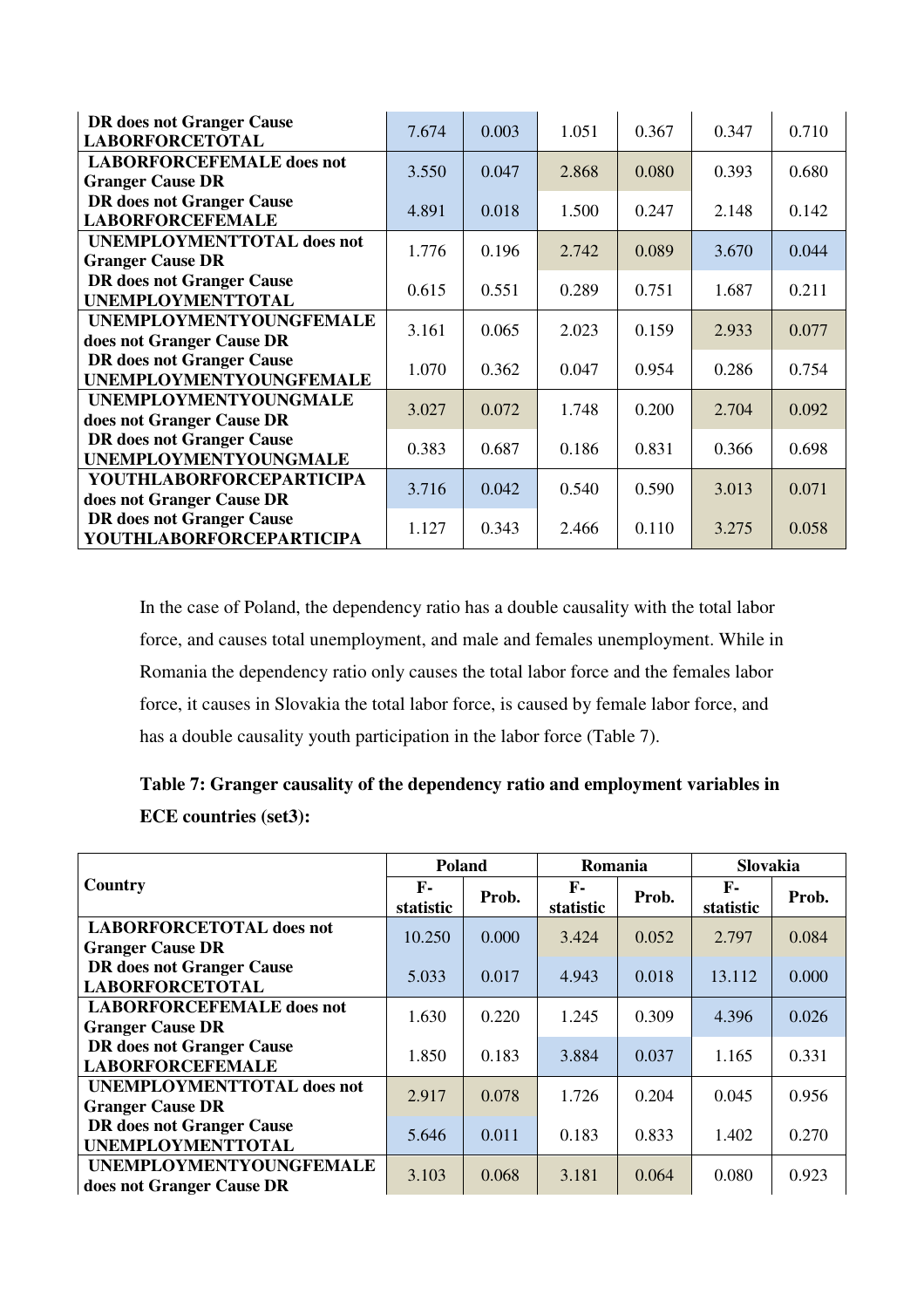| <b>DR</b> does not Granger Cause  | 7.674 | 0.003 | 1.051 | 0.367 | 0.347 | 0.710 |
|-----------------------------------|-------|-------|-------|-------|-------|-------|
| <b>LABORFORCETOTAL</b>            |       |       |       |       |       |       |
| <b>LABORFORCEFEMALE</b> does not  | 3.550 | 0.047 | 2.868 | 0.080 | 0.393 | 0.680 |
| <b>Granger Cause DR</b>           |       |       |       |       |       |       |
| <b>DR</b> does not Granger Cause  | 4.891 | 0.018 | 1.500 | 0.247 | 2.148 | 0.142 |
| <b>LABORFORCEFEMALE</b>           |       |       |       |       |       |       |
| <b>UNEMPLOYMENTTOTAL does not</b> | 1.776 | 0.196 | 2.742 | 0.089 | 3.670 | 0.044 |
| <b>Granger Cause DR</b>           |       |       |       |       |       |       |
| <b>DR</b> does not Granger Cause  | 0.615 | 0.551 | 0.289 | 0.751 | 1.687 | 0.211 |
| <b>UNEMPLOYMENTTOTAL</b>          |       |       |       |       |       |       |
| <b>UNEMPLOYMENTYOUNGFEMALE</b>    | 3.161 | 0.065 | 2.023 | 0.159 | 2.933 | 0.077 |
| does not Granger Cause DR         |       |       |       |       |       |       |
| <b>DR</b> does not Granger Cause  | 1.070 | 0.362 | 0.047 | 0.954 | 0.286 | 0.754 |
| <b>UNEMPLOYMENTYOUNGFEMALE</b>    |       |       |       |       |       |       |
| <b>UNEMPLOYMENTYOUNGMALE</b>      | 3.027 | 0.072 | 1.748 | 0.200 | 2.704 | 0.092 |
| does not Granger Cause DR         |       |       |       |       |       |       |
| <b>DR</b> does not Granger Cause  | 0.383 | 0.687 | 0.186 | 0.831 | 0.366 | 0.698 |
| <b>UNEMPLOYMENTYOUNGMALE</b>      |       |       |       |       |       |       |
| <b>YOUTHLABORFORCEPARTICIPA</b>   | 3.716 | 0.042 | 0.540 | 0.590 | 3.013 | 0.071 |
| does not Granger Cause DR         |       |       |       |       |       |       |
| <b>DR</b> does not Granger Cause  | 1.127 | 0.343 | 2.466 | 0.110 | 3.275 | 0.058 |
| <b>YOUTHLABORFORCEPARTICIPA</b>   |       |       |       |       |       |       |

In the case of Poland, the dependency ratio has a double causality with the total labor force, and causes total unemployment, and male and females unemployment. While in Romania the dependency ratio only causes the total labor force and the females labor force, it causes in Slovakia the total labor force, is caused by female labor force, and has a double causality youth participation in the labor force (Table 7).

| Table 7: Granger causality of the dependency ratio and employment variables in |  |
|--------------------------------------------------------------------------------|--|
| <b>ECE</b> countries (set3):                                                   |  |

|                                   | Poland                    |       | Romania                   |       | Slovakia                  |       |
|-----------------------------------|---------------------------|-------|---------------------------|-------|---------------------------|-------|
| Country                           | $\mathbf{F}$<br>statistic | Prob. | $\mathbf{F}$<br>statistic | Prob. | $\mathbf{F}$<br>statistic | Prob. |
| <b>LABORFORCETOTAL does not</b>   | 10.250                    | 0.000 | 3.424                     | 0.052 | 2.797                     | 0.084 |
| <b>Granger Cause DR</b>           |                           |       |                           |       |                           |       |
| <b>DR</b> does not Granger Cause  | 5.033                     | 0.017 | 4.943                     | 0.018 | 13.112                    | 0.000 |
| <b>LABORFORCETOTAL</b>            |                           |       |                           |       |                           |       |
| <b>LABORFORCEFEMALE</b> does not  | 1.630                     | 0.220 | 1.245                     | 0.309 | 4.396                     | 0.026 |
| <b>Granger Cause DR</b>           |                           |       |                           |       |                           |       |
| <b>DR</b> does not Granger Cause  | 1.850                     | 0.183 | 3.884                     | 0.037 | 1.165                     | 0.331 |
| <b>LABORFORCEFEMALE</b>           |                           |       |                           |       |                           |       |
| <b>UNEMPLOYMENTTOTAL does not</b> | 2.917                     | 0.078 | 1.726                     | 0.204 | 0.045                     | 0.956 |
| <b>Granger Cause DR</b>           |                           |       |                           |       |                           |       |
| <b>DR</b> does not Granger Cause  | 5.646                     | 0.011 | 0.183                     | 0.833 | 1.402                     | 0.270 |
| <b>UNEMPLOYMENTTOTAL</b>          |                           |       |                           |       |                           |       |
| <b>UNEMPLOYMENTYOUNGFEMALE</b>    | 3.103                     | 0.068 | 3.181                     | 0.064 | 0.080                     | 0.923 |
| does not Granger Cause DR         |                           |       |                           |       |                           |       |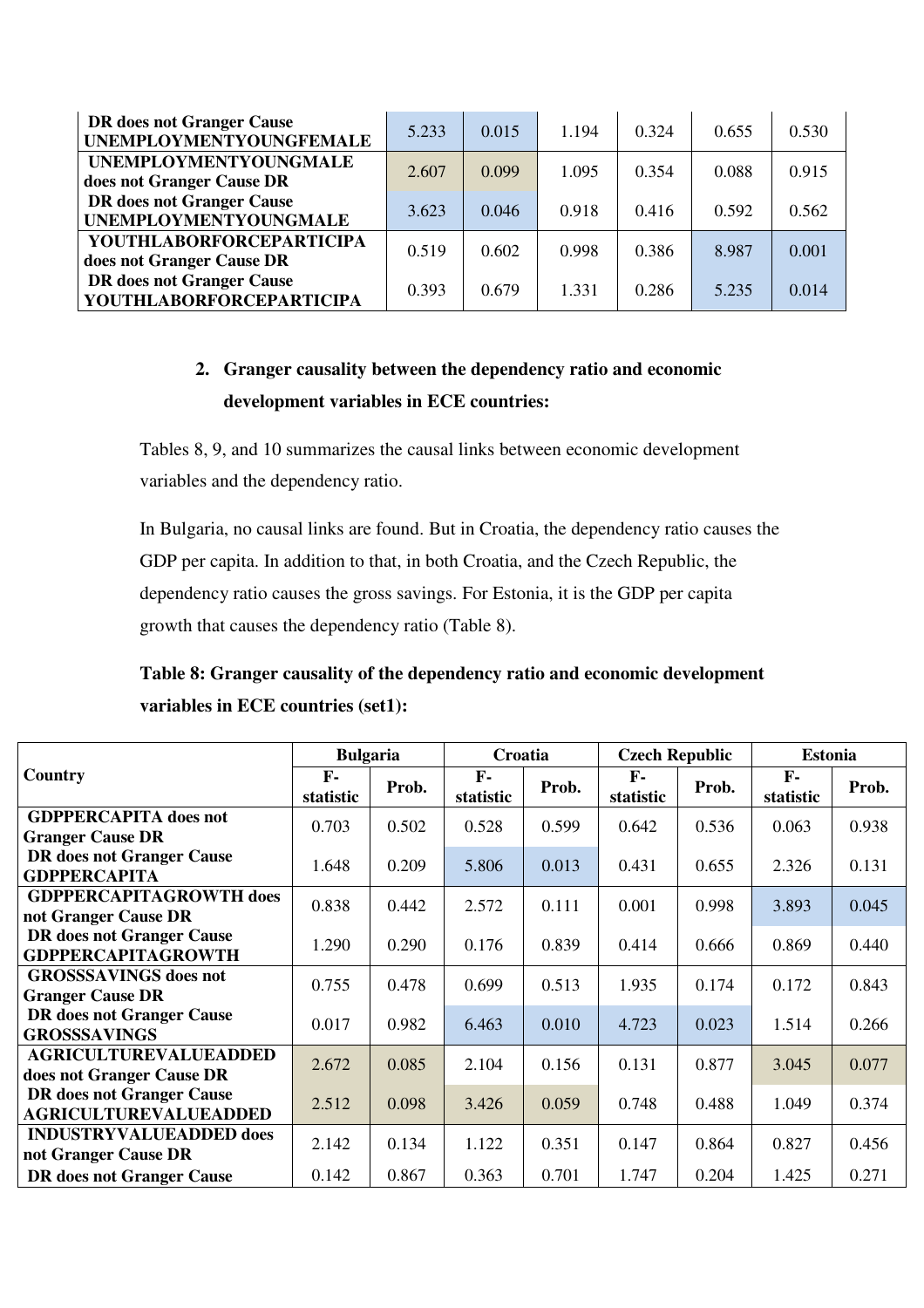| <b>DR</b> does not Granger Cause<br><b>UNEMPLOYMENTYOUNGFEMALE</b>  | 5.233 | 0.015 | 1.194 | 0.324 | 0.655 | 0.530 |
|---------------------------------------------------------------------|-------|-------|-------|-------|-------|-------|
| <b>UNEMPLOYMENTYOUNGMALE</b><br>does not Granger Cause DR           | 2.607 | 0.099 | 1.095 | 0.354 | 0.088 | 0.915 |
| <b>DR</b> does not Granger Cause<br><b>UNEMPLOYMENTYOUNGMALE</b>    | 3.623 | 0.046 | 0.918 | 0.416 | 0.592 | 0.562 |
| <b>YOUTHLABORFORCEPARTICIPA</b><br>does not Granger Cause DR        | 0.519 | 0.602 | 0.998 | 0.386 | 8.987 | 0.001 |
| <b>DR</b> does not Granger Cause<br><b>YOUTHLABORFORCEPARTICIPA</b> | 0.393 | 0.679 | 1.331 | 0.286 | 5.235 | 0.014 |

### **2. Granger causality between the dependency ratio and economic development variables in ECE countries:**

Tables 8, 9, and 10 summarizes the causal links between economic development variables and the dependency ratio.

In Bulgaria, no causal links are found. But in Croatia, the dependency ratio causes the GDP per capita. In addition to that, in both Croatia, and the Czech Republic, the dependency ratio causes the gross savings. For Estonia, it is the GDP per capita growth that causes the dependency ratio (Table 8).

# **Table 8: Granger causality of the dependency ratio and economic development variables in ECE countries (set1):**

|                                                                  | <b>Bulgaria</b> |       | Croatia            |       | <b>Czech Republic</b>     |       | <b>Estonia</b>            |       |
|------------------------------------------------------------------|-----------------|-------|--------------------|-------|---------------------------|-------|---------------------------|-------|
| <b>Country</b>                                                   | F-<br>statistic | Prob. | $F -$<br>statistic | Prob. | $\mathbf{F}$<br>statistic | Prob. | $\mathbf{F}$<br>statistic | Prob. |
| <b>GDPPERCAPITA</b> does not<br><b>Granger Cause DR</b>          | 0.703           | 0.502 | 0.528              | 0.599 | 0.642                     | 0.536 | 0.063                     | 0.938 |
| <b>DR</b> does not Granger Cause<br><b>GDPPERCAPITA</b>          | 1.648           | 0.209 | 5.806              | 0.013 | 0.431                     | 0.655 | 2.326                     | 0.131 |
| <b>GDPPERCAPITAGROWTH does</b><br>not Granger Cause DR           | 0.838           | 0.442 | 2.572              | 0.111 | 0.001                     | 0.998 | 3.893                     | 0.045 |
| <b>DR</b> does not Granger Cause<br><b>GDPPERCAPITAGROWTH</b>    | 1.290           | 0.290 | 0.176              | 0.839 | 0.414                     | 0.666 | 0.869                     | 0.440 |
| <b>GROSSSAVINGS</b> does not<br><b>Granger Cause DR</b>          | 0.755           | 0.478 | 0.699              | 0.513 | 1.935                     | 0.174 | 0.172                     | 0.843 |
| <b>DR</b> does not Granger Cause<br><b>GROSSSAVINGS</b>          | 0.017           | 0.982 | 6.463              | 0.010 | 4.723                     | 0.023 | 1.514                     | 0.266 |
| <b>AGRICULTUREVALUEADDED</b><br>does not Granger Cause DR        | 2.672           | 0.085 | 2.104              | 0.156 | 0.131                     | 0.877 | 3.045                     | 0.077 |
| <b>DR</b> does not Granger Cause<br><b>AGRICULTUREVALUEADDED</b> | 2.512           | 0.098 | 3.426              | 0.059 | 0.748                     | 0.488 | 1.049                     | 0.374 |
| <b>INDUSTRYVALUEADDED does</b><br>not Granger Cause DR           | 2.142           | 0.134 | 1.122              | 0.351 | 0.147                     | 0.864 | 0.827                     | 0.456 |
| <b>DR</b> does not Granger Cause                                 | 0.142           | 0.867 | 0.363              | 0.701 | 1.747                     | 0.204 | 1.425                     | 0.271 |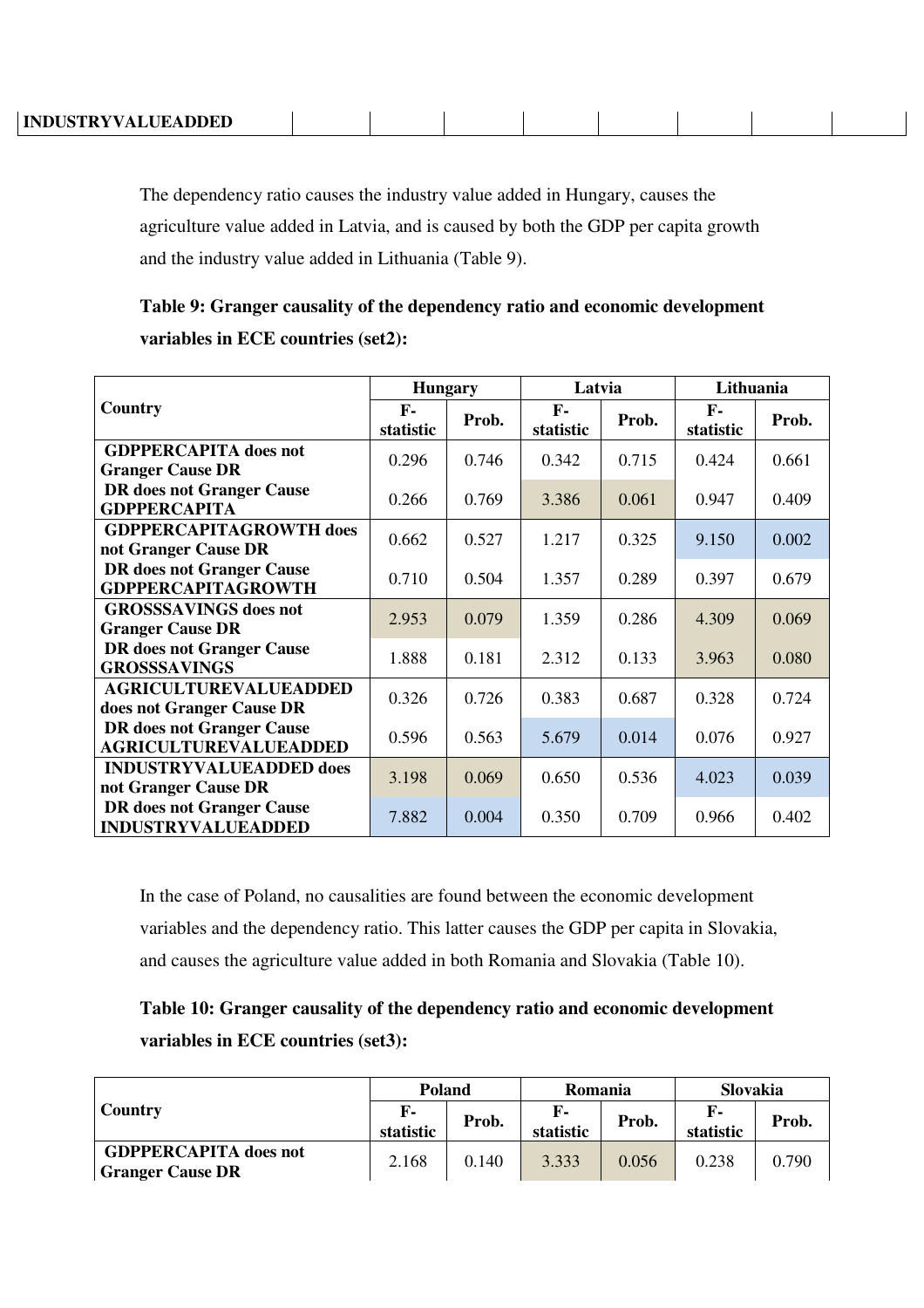| INDUSTRYVALUEADDED |  |  |  |  |
|--------------------|--|--|--|--|
|                    |  |  |  |  |

The dependency ratio causes the industry value added in Hungary, causes the agriculture value added in Latvia, and is caused by both the GDP per capita growth and the industry value added in Lithuania (Table 9).

|                                  | <b>Hungary</b>    |       | Latvia                    |       | Lithuania         |       |  |
|----------------------------------|-------------------|-------|---------------------------|-------|-------------------|-------|--|
| Country                          | $F-$<br>statistic | Prob. | $\mathbf{F}$<br>statistic | Prob. | $F-$<br>statistic | Prob. |  |
| <b>GDPPERCAPITA</b> does not     | 0.296             | 0.746 | 0.342                     | 0.715 | 0.424             | 0.661 |  |
| <b>Granger Cause DR</b>          |                   |       |                           |       |                   |       |  |
| <b>DR</b> does not Granger Cause | 0.266             | 0.769 | 3.386                     | 0.061 | 0.947             | 0.409 |  |
| <b>GDPPERCAPITA</b>              |                   |       |                           |       |                   |       |  |
| <b>GDPPERCAPITAGROWTH does</b>   | 0.662             | 0.527 | 1.217                     | 0.325 | 9.150             | 0.002 |  |
| not Granger Cause DR             |                   |       |                           |       |                   |       |  |
| <b>DR</b> does not Granger Cause | 0.710             | 0.504 | 1.357                     | 0.289 | 0.397             | 0.679 |  |
| <b>GDPPERCAPITAGROWTH</b>        |                   |       |                           |       |                   |       |  |
| <b>GROSSSAVINGS</b> does not     | 2.953             | 0.079 | 1.359                     | 0.286 | 4.309             | 0.069 |  |
| <b>Granger Cause DR</b>          |                   |       |                           |       |                   |       |  |
| <b>DR</b> does not Granger Cause | 1.888             | 0.181 | 2.312                     | 0.133 | 3.963             | 0.080 |  |
| <b>GROSSSAVINGS</b>              |                   |       |                           |       |                   |       |  |
| <b>AGRICULTUREVALUEADDED</b>     | 0.326             | 0.726 | 0.383                     | 0.687 | 0.328             | 0.724 |  |
| does not Granger Cause DR        |                   |       |                           |       |                   |       |  |
| <b>DR</b> does not Granger Cause | 0.596             | 0.563 | 5.679                     | 0.014 | 0.076             | 0.927 |  |
| <b>AGRICULTUREVALUEADDED</b>     |                   |       |                           |       |                   |       |  |
| <b>INDUSTRYVALUEADDED does</b>   |                   | 0.069 | 0.650                     | 0.536 | 4.023             |       |  |
| not Granger Cause DR             | 3.198             |       |                           |       |                   | 0.039 |  |
| <b>DR</b> does not Granger Cause | 7.882             | 0.004 | 0.350                     | 0.709 | 0.966             | 0.402 |  |
| <b>INDUSTRYVALUEADDED</b>        |                   |       |                           |       |                   |       |  |

**Table 9: Granger causality of the dependency ratio and economic development variables in ECE countries (set2):** 

In the case of Poland, no causalities are found between the economic development variables and the dependency ratio. This latter causes the GDP per capita in Slovakia, and causes the agriculture value added in both Romania and Slovakia (Table 10).

# **Table 10: Granger causality of the dependency ratio and economic development variables in ECE countries (set3):**

|                                                         | <b>Poland</b>   |       | Romania         |       | Slovakia  |       |
|---------------------------------------------------------|-----------------|-------|-----------------|-------|-----------|-------|
| Country                                                 | F-<br>statistic | Prob. | F-<br>statistic | Prob. | statistic | Prob. |
| <b>GDPPERCAPITA</b> does not<br><b>Granger Cause DR</b> | 2.168           | 0.140 | 3.333           | 0.056 | 0.238     | 0.790 |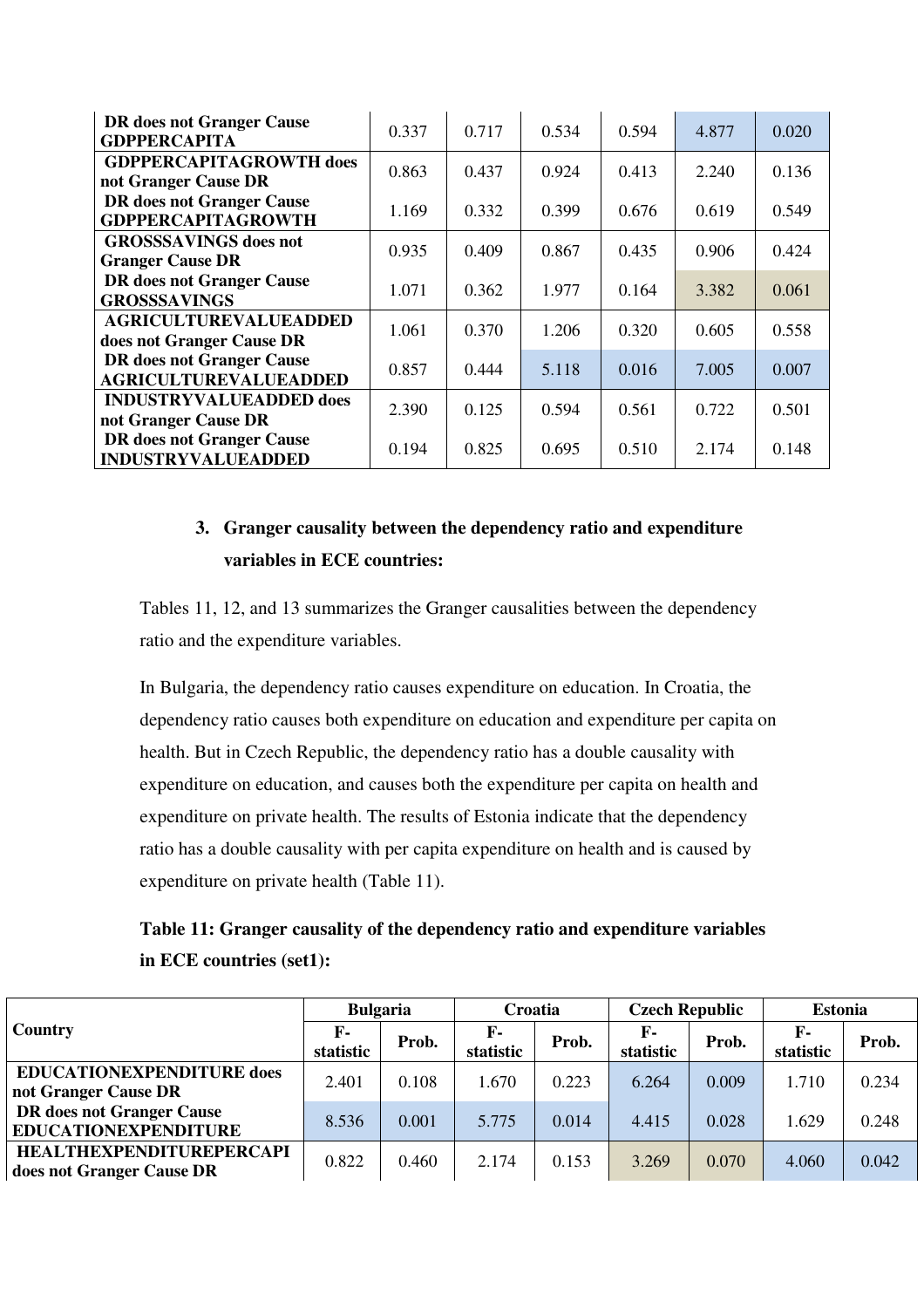| <b>DR</b> does not Granger Cause<br><b>GDPPERCAPITA</b>          | 0.337 | 0.717 | 0.534 | 0.594 | 4.877 | 0.020 |
|------------------------------------------------------------------|-------|-------|-------|-------|-------|-------|
| <b>GDPPERCAPITAGROWTH does</b><br>not Granger Cause DR           | 0.863 | 0.437 | 0.924 | 0.413 | 2.240 | 0.136 |
| <b>DR</b> does not Granger Cause<br><b>GDPPERCAPITAGROWTH</b>    | 1.169 | 0.332 | 0.399 | 0.676 | 0.619 | 0.549 |
| <b>GROSSSAVINGS</b> does not<br><b>Granger Cause DR</b>          | 0.935 | 0.409 | 0.867 | 0.435 | 0.906 | 0.424 |
| <b>DR</b> does not Granger Cause<br><b>GROSSSAVINGS</b>          | 1.071 | 0.362 | 1.977 | 0.164 | 3.382 | 0.061 |
| <b>AGRICULTUREVALUEADDED</b><br>does not Granger Cause DR        | 1.061 | 0.370 | 1.206 | 0.320 | 0.605 | 0.558 |
| <b>DR</b> does not Granger Cause<br><b>AGRICULTUREVALUEADDED</b> | 0.857 | 0.444 | 5.118 | 0.016 | 7.005 | 0.007 |
| <b>INDUSTRYVALUEADDED does</b><br>not Granger Cause DR           | 2.390 | 0.125 | 0.594 | 0.561 | 0.722 | 0.501 |
| <b>DR</b> does not Granger Cause<br><b>INDUSTRYVALUEADDED</b>    | 0.194 | 0.825 | 0.695 | 0.510 | 2.174 | 0.148 |

# **3. Granger causality between the dependency ratio and expenditure variables in ECE countries:**

Tables 11, 12, and 13 summarizes the Granger causalities between the dependency ratio and the expenditure variables.

In Bulgaria, the dependency ratio causes expenditure on education. In Croatia, the dependency ratio causes both expenditure on education and expenditure per capita on health. But in Czech Republic, the dependency ratio has a double causality with expenditure on education, and causes both the expenditure per capita on health and expenditure on private health. The results of Estonia indicate that the dependency ratio has a double causality with per capita expenditure on health and is caused by expenditure on private health (Table 11).

| Table 11: Granger causality of the dependency ratio and expenditure variables |
|-------------------------------------------------------------------------------|
| in ECE countries (set1):                                                      |

|                                                                 | <b>Bulgaria</b>           |       | Croatia                     |       | <b>Czech Republic</b>     |       | <b>Estonia</b>            |       |
|-----------------------------------------------------------------|---------------------------|-------|-----------------------------|-------|---------------------------|-------|---------------------------|-------|
| Country                                                         | $\mathbf{F}$<br>statistic | Prob. | $\mathbf{F}$ -<br>statistic | Prob. | $\mathbf{F}$<br>statistic | Prob. | $\mathbf{F}$<br>statistic | Prob. |
| <b>EDUCATIONEXPENDITURE does</b><br>not Granger Cause DR        | 2.401                     | 0.108 | 1.670                       | 0.223 | 6.264                     | 0.009 | 1.710                     | 0.234 |
| <b>DR</b> does not Granger Cause<br><b>EDUCATIONEXPENDITURE</b> | 8.536                     | 0.001 | 5.775                       | 0.014 | 4.415                     | 0.028 | 1.629                     | 0.248 |
| <b>HEALTHEXPENDITUREPERCAPI</b><br>does not Granger Cause DR    | 0.822                     | 0.460 | 2.174                       | 0.153 | 3.269                     | 0.070 | 4.060                     | 0.042 |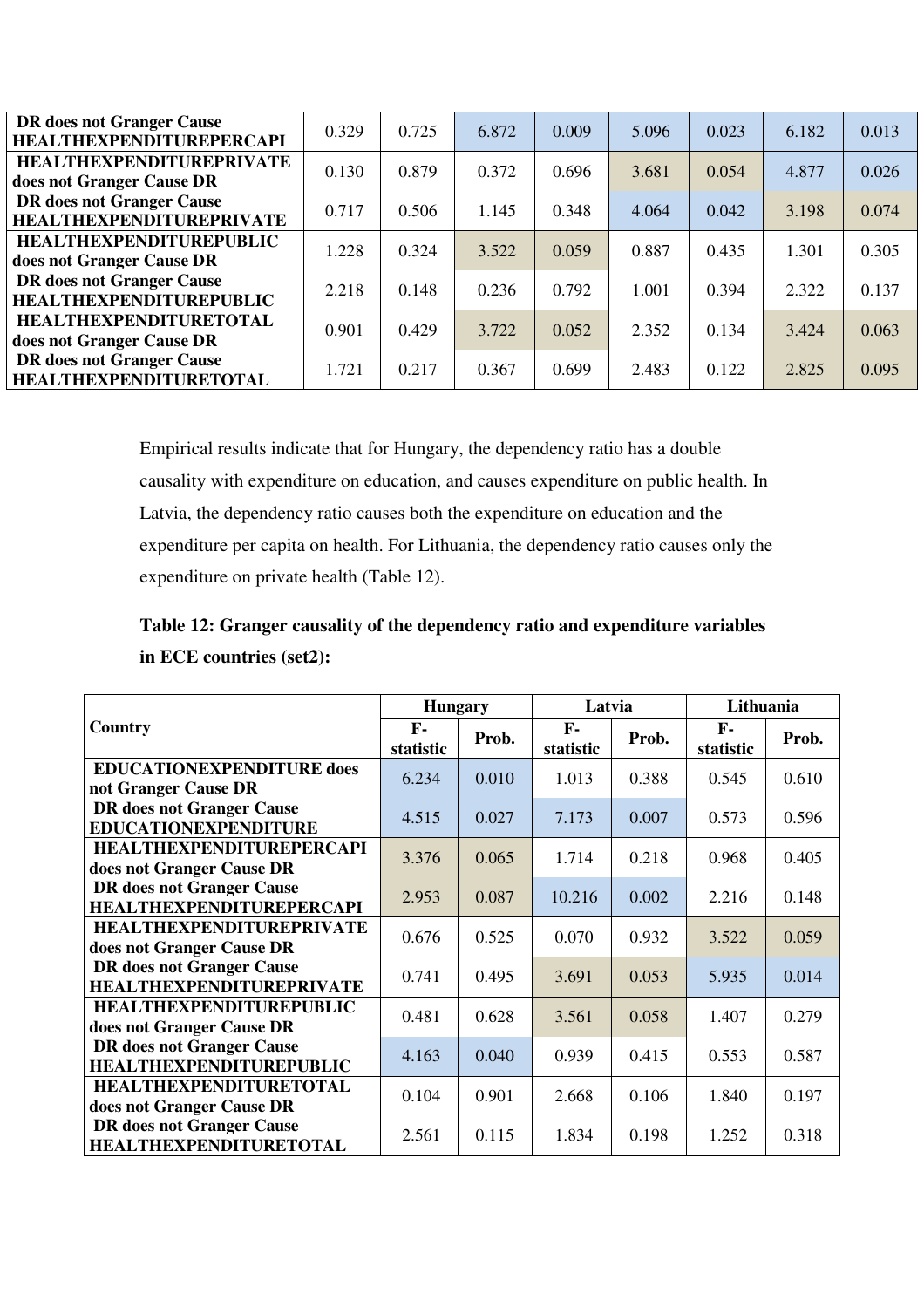| <b>DR</b> does not Granger Cause<br><b>HEALTHEXPENDITUREPERCAPI</b> | 0.329 | 0.725 | 6.872 | 0.009 | 5.096 | 0.023 | 6.182 | 0.013 |
|---------------------------------------------------------------------|-------|-------|-------|-------|-------|-------|-------|-------|
| <b>HEALTHEXPENDITUREPRIVATE</b><br>does not Granger Cause DR        | 0.130 | 0.879 | 0.372 | 0.696 | 3.681 | 0.054 | 4.877 | 0.026 |
| <b>DR</b> does not Granger Cause<br><b>HEALTHEXPENDITUREPRIVATE</b> | 0.717 | 0.506 | 1.145 | 0.348 | 4.064 | 0.042 | 3.198 | 0.074 |
| <b>HEALTHEXPENDITUREPUBLIC</b><br>does not Granger Cause DR         | 1.228 | 0.324 | 3.522 | 0.059 | 0.887 | 0.435 | 1.301 | 0.305 |
| DR does not Granger Cause<br><b>HEALTHEXPENDITUREPUBLIC</b>         | 2.218 | 0.148 | 0.236 | 0.792 | 1.001 | 0.394 | 2.322 | 0.137 |
| <b>HEALTHEXPENDITURETOTAL</b><br>does not Granger Cause DR          | 0.901 | 0.429 | 3.722 | 0.052 | 2.352 | 0.134 | 3.424 | 0.063 |
| <b>DR</b> does not Granger Cause<br><b>HEALTHEXPENDITURETOTAL</b>   | 1.721 | 0.217 | 0.367 | 0.699 | 2.483 | 0.122 | 2.825 | 0.095 |

Empirical results indicate that for Hungary, the dependency ratio has a double causality with expenditure on education, and causes expenditure on public health. In Latvia, the dependency ratio causes both the expenditure on education and the expenditure per capita on health. For Lithuania, the dependency ratio causes only the expenditure on private health (Table 12).

# **Table 12: Granger causality of the dependency ratio and expenditure variables in ECE countries (set2):**

|                                  | <b>Hungary</b>            |       | Latvia                    |       | Lithuania                 |       |  |
|----------------------------------|---------------------------|-------|---------------------------|-------|---------------------------|-------|--|
| Country                          | $\mathbf{F}$<br>statistic | Prob. | $\mathbf{F}$<br>statistic | Prob. | $\mathbf{F}$<br>statistic | Prob. |  |
| <b>EDUCATIONEXPENDITURE does</b> | 6.234                     | 0.010 | 1.013                     | 0.388 | 0.545                     | 0.610 |  |
| not Granger Cause DR             |                           |       |                           |       |                           |       |  |
| <b>DR</b> does not Granger Cause | 4.515                     | 0.027 | 7.173                     | 0.007 | 0.573                     | 0.596 |  |
| <b>EDUCATIONEXPENDITURE</b>      |                           |       |                           |       |                           |       |  |
| <b>HEALTHEXPENDITUREPERCAPI</b>  | 3.376                     | 0.065 | 1.714                     | 0.218 | 0.968                     | 0.405 |  |
| does not Granger Cause DR        |                           |       |                           |       |                           |       |  |
| <b>DR</b> does not Granger Cause | 2.953                     | 0.087 | 10.216                    | 0.002 | 2.216                     | 0.148 |  |
| <b>HEALTHEXPENDITUREPERCAPI</b>  |                           |       |                           |       |                           |       |  |
| <b>HEALTHEXPENDITUREPRIVATE</b>  | 0.676                     | 0.525 | 0.070                     | 0.932 | 3.522                     | 0.059 |  |
| does not Granger Cause DR        |                           |       |                           |       |                           |       |  |
| <b>DR</b> does not Granger Cause | 0.741                     | 0.495 | 3.691                     | 0.053 | 5.935                     | 0.014 |  |
| <b>HEALTHEXPENDITUREPRIVATE</b>  |                           |       |                           |       |                           |       |  |
| <b>HEALTHEXPENDITUREPUBLIC</b>   | 0.481                     | 0.628 | 3.561                     | 0.058 | 1.407                     | 0.279 |  |
| does not Granger Cause DR        |                           |       |                           |       |                           |       |  |
| <b>DR</b> does not Granger Cause | 4.163                     | 0.040 | 0.939                     | 0.415 | 0.553                     | 0.587 |  |
| <b>HEALTHEXPENDITUREPUBLIC</b>   |                           |       |                           |       |                           |       |  |
| <b>HEALTHEXPENDITURETOTAL</b>    | 0.104                     | 0.901 | 2.668                     | 0.106 | 1.840                     | 0.197 |  |
| does not Granger Cause DR        |                           |       |                           |       |                           |       |  |
| <b>DR</b> does not Granger Cause | 2.561                     | 0.115 | 1.834                     | 0.198 | 1.252                     | 0.318 |  |
| <b>HEALTHEXPENDITURETOTAL</b>    |                           |       |                           |       |                           |       |  |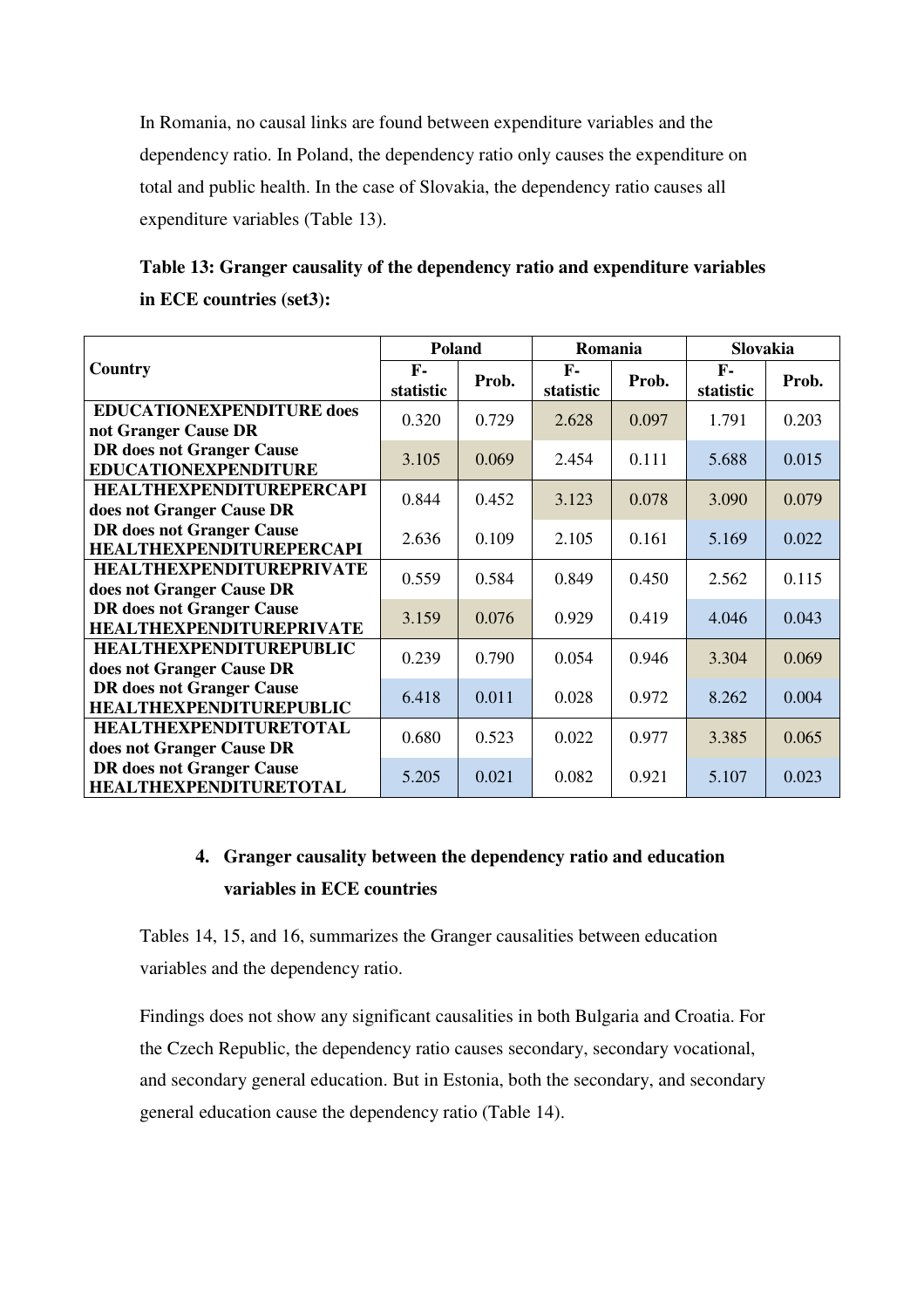In Romania, no causal links are found between expenditure variables and the dependency ratio. In Poland, the dependency ratio only causes the expenditure on total and public health. In the case of Slovakia, the dependency ratio causes all expenditure variables (Table 13).

| Table 13: Granger causality of the dependency ratio and expenditure variables |
|-------------------------------------------------------------------------------|
| in ECE countries (set3):                                                      |

|                                                                     | <b>Poland</b>   |       | Romania         |       | Slovakia                  |       |  |
|---------------------------------------------------------------------|-----------------|-------|-----------------|-------|---------------------------|-------|--|
| Country                                                             | F-<br>statistic | Prob. | F-<br>statistic | Prob. | $\mathbf{F}$<br>statistic | Prob. |  |
| <b>EDUCATIONEXPENDITURE does</b><br>not Granger Cause DR            | 0.320           | 0.729 | 2.628           | 0.097 | 1.791                     | 0.203 |  |
| <b>DR</b> does not Granger Cause<br><b>EDUCATIONEXPENDITURE</b>     | 3.105           | 0.069 | 2.454           | 0.111 | 5.688                     | 0.015 |  |
| <b>HEALTHEXPENDITUREPERCAPI</b><br>does not Granger Cause DR        | 0.844           | 0.452 | 3.123           | 0.078 | 3.090                     | 0.079 |  |
| <b>DR</b> does not Granger Cause<br><b>HEALTHEXPENDITUREPERCAPI</b> | 2.636           | 0.109 | 2.105           | 0.161 | 5.169                     | 0.022 |  |
| <b>HEALTHEXPENDITUREPRIVATE</b><br>does not Granger Cause DR        | 0.559           | 0.584 | 0.849           | 0.450 | 2.562                     | 0.115 |  |
| <b>DR</b> does not Granger Cause<br><b>HEALTHEXPENDITUREPRIVATE</b> | 3.159           | 0.076 | 0.929           | 0.419 | 4.046                     | 0.043 |  |
| <b>HEALTHEXPENDITUREPUBLIC</b><br>does not Granger Cause DR         | 0.239           | 0.790 | 0.054           | 0.946 | 3.304                     | 0.069 |  |
| <b>DR</b> does not Granger Cause<br><b>HEALTHEXPENDITUREPUBLIC</b>  | 6.418           | 0.011 | 0.028           | 0.972 | 8.262                     | 0.004 |  |
| <b>HEALTHEXPENDITURETOTAL</b><br>does not Granger Cause DR          | 0.680           | 0.523 | 0.022           | 0.977 | 3.385                     | 0.065 |  |
| <b>DR</b> does not Granger Cause<br><b>HEALTHEXPENDITURETOTAL</b>   | 5.205           | 0.021 | 0.082           | 0.921 | 5.107                     | 0.023 |  |

### **4. Granger causality between the dependency ratio and education variables in ECE countries**

Tables 14, 15, and 16, summarizes the Granger causalities between education variables and the dependency ratio.

Findings does not show any significant causalities in both Bulgaria and Croatia. For the Czech Republic, the dependency ratio causes secondary, secondary vocational, and secondary general education. But in Estonia, both the secondary, and secondary general education cause the dependency ratio (Table 14).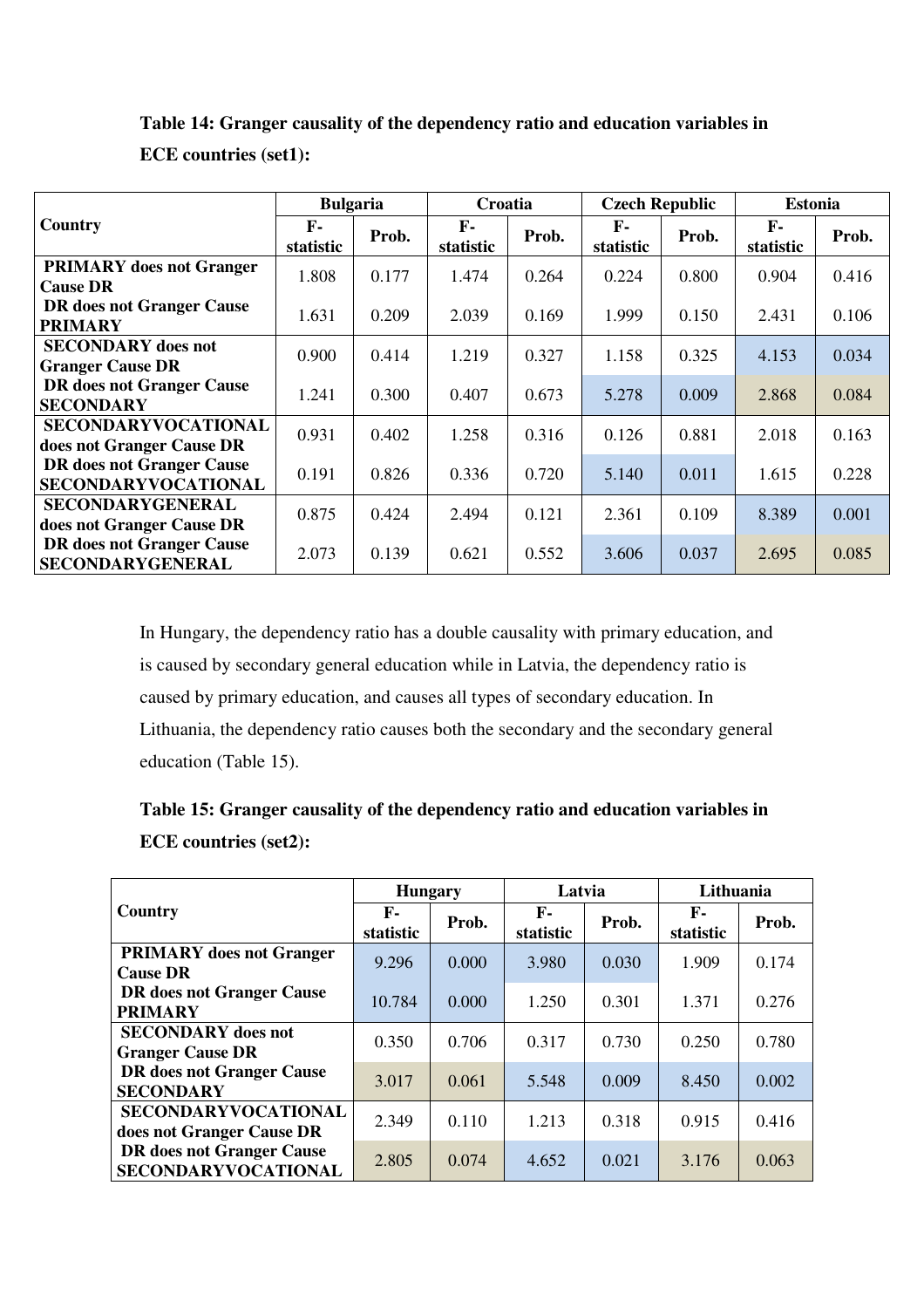### **Table 14: Granger causality of the dependency ratio and education variables in**

**ECE countries (set1):** 

|                                                                | <b>Bulgaria</b>           |       | Croatia                   |       | <b>Czech Republic</b> | <b>Estonia</b> |                           |       |
|----------------------------------------------------------------|---------------------------|-------|---------------------------|-------|-----------------------|----------------|---------------------------|-------|
| Country                                                        | $\mathbf{F}$<br>statistic | Prob. | $\mathbf{F}$<br>statistic | Prob. | F-<br>statistic       | Prob.          | $\mathbf{F}$<br>statistic | Prob. |
| <b>PRIMARY</b> does not Granger<br><b>Cause DR</b>             | 1.808                     | 0.177 | 1.474                     | 0.264 | 0.224                 | 0.800          | 0.904                     | 0.416 |
| <b>DR</b> does not Granger Cause<br><b>PRIMARY</b>             | 1.631                     | 0.209 | 2.039                     | 0.169 | 1.999                 | 0.150          | 2.431                     | 0.106 |
| <b>SECONDARY</b> does not<br><b>Granger Cause DR</b>           | 0.900                     | 0.414 | 1.219                     | 0.327 | 1.158                 | 0.325          | 4.153                     | 0.034 |
| <b>DR</b> does not Granger Cause<br><b>SECONDARY</b>           | 1.241                     | 0.300 | 0.407                     | 0.673 | 5.278                 | 0.009          | 2.868                     | 0.084 |
| SECONDARYVOCATIONAL<br>does not Granger Cause DR               | 0.931                     | 0.402 | 1.258                     | 0.316 | 0.126                 | 0.881          | 2.018                     | 0.163 |
| <b>DR</b> does not Granger Cause<br><b>SECONDARYVOCATIONAL</b> | 0.191                     | 0.826 | 0.336                     | 0.720 | 5.140                 | 0.011          | 1.615                     | 0.228 |
| <b>SECONDARYGENERAL</b><br>does not Granger Cause DR           | 0.875                     | 0.424 | 2.494                     | 0.121 | 2.361                 | 0.109          | 8.389                     | 0.001 |
| <b>DR</b> does not Granger Cause<br>SECONDARYGENERAL           | 2.073                     | 0.139 | 0.621                     | 0.552 | 3.606                 | 0.037          | 2.695                     | 0.085 |

In Hungary, the dependency ratio has a double causality with primary education, and is caused by secondary general education while in Latvia, the dependency ratio is caused by primary education, and causes all types of secondary education. In Lithuania, the dependency ratio causes both the secondary and the secondary general education (Table 15).

# **Table 15: Granger causality of the dependency ratio and education variables in ECE countries (set2):**

|                                                                | <b>Hungary</b>  |       | Latvia                    |       | Lithuania         |       |
|----------------------------------------------------------------|-----------------|-------|---------------------------|-------|-------------------|-------|
| Country                                                        | F-<br>statistic | Prob. | $\mathbf{F}$<br>statistic | Prob. | $F-$<br>statistic | Prob. |
| <b>PRIMARY</b> does not Granger<br><b>Cause DR</b>             | 9.296           | 0.000 | 3.980                     | 0.030 | 1.909             | 0.174 |
| <b>DR</b> does not Granger Cause<br><b>PRIMARY</b>             | 10.784          | 0.000 | 1.250                     | 0.301 | 1.371             | 0.276 |
| <b>SECONDARY</b> does not<br><b>Granger Cause DR</b>           | 0.350           | 0.706 | 0.317                     | 0.730 | 0.250             | 0.780 |
| <b>DR</b> does not Granger Cause<br><b>SECONDARY</b>           | 3.017           | 0.061 | 5.548                     | 0.009 | 8.450             | 0.002 |
| <b>SECONDARYVOCATIONAL</b><br>does not Granger Cause DR        | 2.349           | 0.110 | 1.213                     | 0.318 | 0.915             | 0.416 |
| <b>DR</b> does not Granger Cause<br><b>SECONDARYVOCATIONAL</b> | 2.805           | 0.074 | 4.652                     | 0.021 | 3.176             | 0.063 |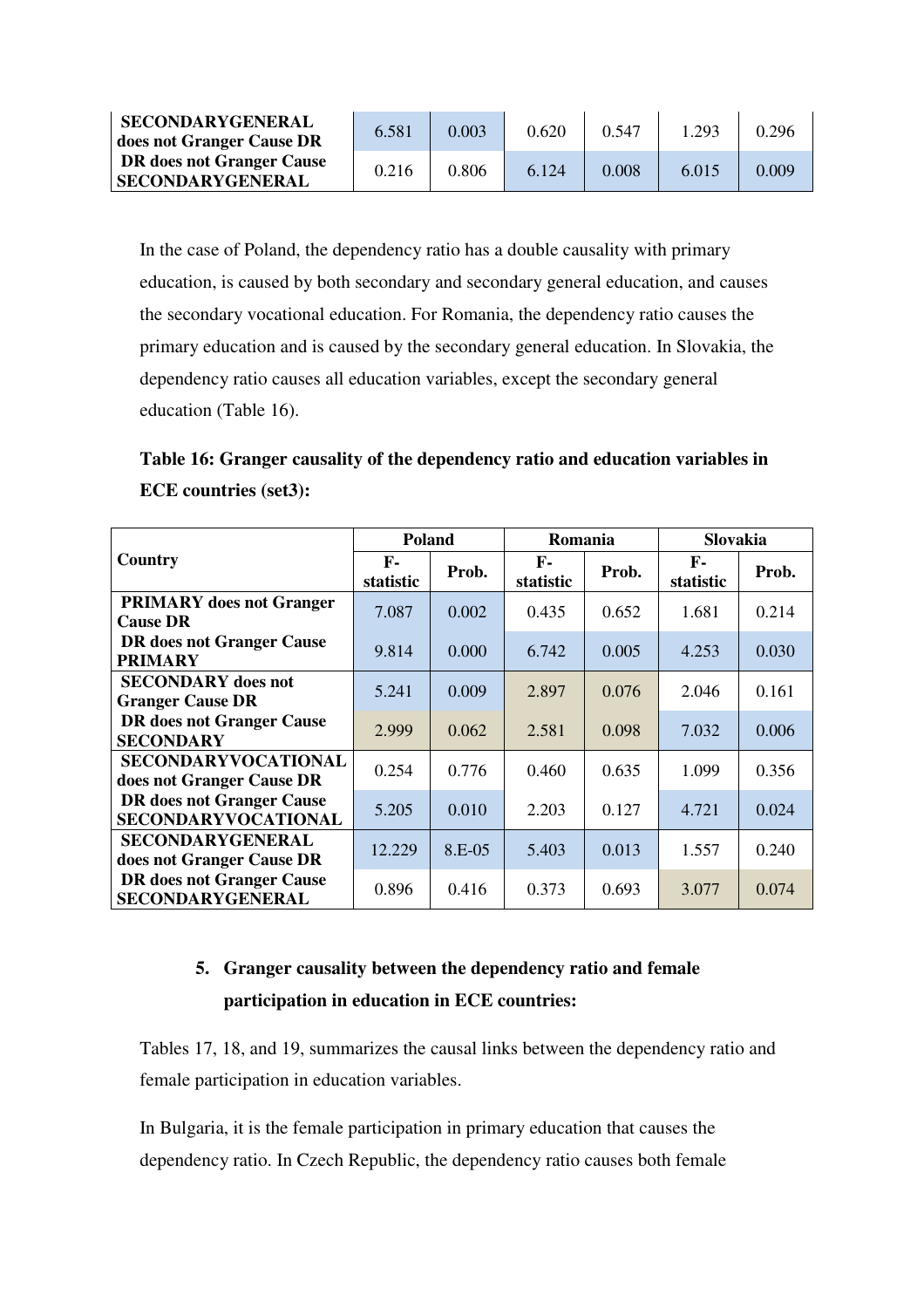| <b>SECONDARYGENERAL</b><br>does not Granger Cause DR | 6.581 | 0.003 | 0.620 | 0.547     | 1.293 | 0.296 |
|------------------------------------------------------|-------|-------|-------|-----------|-------|-------|
| DR does not Granger Cause<br><b>SECONDARYGENERAL</b> | 0.216 | 0.806 | 6.124 | $0.008\,$ | 6.015 | 0.009 |

In the case of Poland, the dependency ratio has a double causality with primary education, is caused by both secondary and secondary general education, and causes the secondary vocational education. For Romania, the dependency ratio causes the primary education and is caused by the secondary general education. In Slovakia, the dependency ratio causes all education variables, except the secondary general education (Table 16).

# **Table 16: Granger causality of the dependency ratio and education variables in ECE countries (set3):**

|                                                             | Poland          |          | Romania         |       | Slovakia                  |       |
|-------------------------------------------------------------|-----------------|----------|-----------------|-------|---------------------------|-------|
| Country                                                     | F-<br>statistic | Prob.    | F-<br>statistic | Prob. | $\mathbf{F}$<br>statistic | Prob. |
| <b>PRIMARY</b> does not Granger<br><b>Cause DR</b>          | 7.087           | 0.002    | 0.435           | 0.652 | 1.681                     | 0.214 |
| <b>DR</b> does not Granger Cause<br><b>PRIMARY</b>          | 9.814           | 0.000    | 6.742           | 0.005 | 4.253                     | 0.030 |
| <b>SECONDARY</b> does not<br><b>Granger Cause DR</b>        | 5.241           | 0.009    | 2.897           | 0.076 | 2.046                     | 0.161 |
| <b>DR</b> does not Granger Cause<br><b>SECONDARY</b>        | 2.999           | 0.062    | 2.581           | 0.098 | 7.032                     | 0.006 |
| <b>SECONDARYVOCATIONAL</b><br>does not Granger Cause DR     | 0.254           | 0.776    | 0.460           | 0.635 | 1.099                     | 0.356 |
| <b>DR</b> does not Granger Cause<br>SECONDARYVOCATIONAL     | 5.205           | 0.010    | 2.203           | 0.127 | 4.721                     | 0.024 |
| <b>SECONDARYGENERAL</b><br>does not Granger Cause DR        | 12.229          | $8.E-05$ | 5.403           | 0.013 | 1.557                     | 0.240 |
| <b>DR</b> does not Granger Cause<br><b>SECONDARYGENERAL</b> | 0.896           | 0.416    | 0.373           | 0.693 | 3.077                     | 0.074 |

# **5. Granger causality between the dependency ratio and female participation in education in ECE countries:**

Tables 17, 18, and 19, summarizes the causal links between the dependency ratio and female participation in education variables.

In Bulgaria, it is the female participation in primary education that causes the dependency ratio. In Czech Republic, the dependency ratio causes both female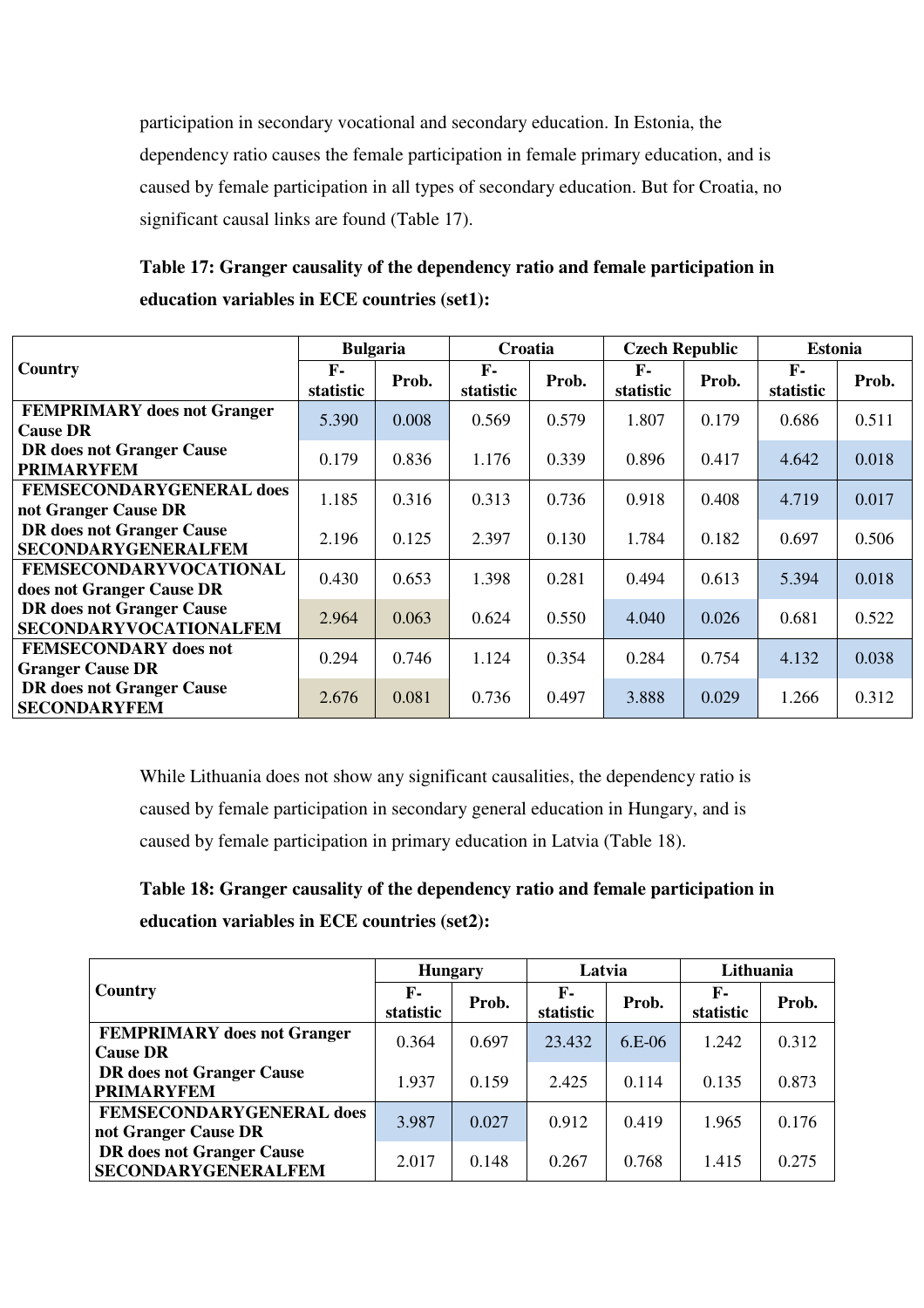participation in secondary vocational and secondary education. In Estonia, the dependency ratio causes the female participation in female primary education, and is caused by female participation in all types of secondary education. But for Croatia, no significant causal links are found (Table 17).

**Table 17: Granger causality of the dependency ratio and female participation in education variables in ECE countries (set1):** 

|                                                                   | <b>Bulgaria</b> |       | <b>Croatia</b>     |       | <b>Czech Republic</b>     |       | <b>Estonia</b>  |       |
|-------------------------------------------------------------------|-----------------|-------|--------------------|-------|---------------------------|-------|-----------------|-------|
| Country                                                           | F-<br>statistic | Prob. | $F -$<br>statistic | Prob. | $\mathbf{F}$<br>statistic | Prob. | F-<br>statistic | Prob. |
| <b>FEMPRIMARY</b> does not Granger<br><b>Cause DR</b>             | 5.390           | 0.008 | 0.569              | 0.579 | 1.807                     | 0.179 | 0.686           | 0.511 |
| <b>DR</b> does not Granger Cause<br><b>PRIMARYFEM</b>             | 0.179           | 0.836 | 1.176              | 0.339 | 0.896                     | 0.417 | 4.642           | 0.018 |
| <b>FEMSECONDARYGENERAL does</b><br>not Granger Cause DR           | 1.185           | 0.316 | 0.313              | 0.736 | 0.918                     | 0.408 | 4.719           | 0.017 |
| <b>DR</b> does not Granger Cause<br><b>SECONDARYGENERALFEM</b>    | 2.196           | 0.125 | 2.397              | 0.130 | 1.784                     | 0.182 | 0.697           | 0.506 |
| <b>FEMSECONDARYVOCATIONAL</b><br>does not Granger Cause DR        | 0.430           | 0.653 | 1.398              | 0.281 | 0.494                     | 0.613 | 5.394           | 0.018 |
| <b>DR</b> does not Granger Cause<br><b>SECONDARYVOCATIONALFEM</b> | 2.964           | 0.063 | 0.624              | 0.550 | 4.040                     | 0.026 | 0.681           | 0.522 |
| <b>FEMSECONDARY</b> does not<br><b>Granger Cause DR</b>           | 0.294           | 0.746 | 1.124              | 0.354 | 0.284                     | 0.754 | 4.132           | 0.038 |
| <b>DR</b> does not Granger Cause<br><b>SECONDARYFEM</b>           | 2.676           | 0.081 | 0.736              | 0.497 | 3.888                     | 0.029 | 1.266           | 0.312 |

While Lithuania does not show any significant causalities, the dependency ratio is caused by female participation in secondary general education in Hungary, and is caused by female participation in primary education in Latvia (Table 18).

**Table 18: Granger causality of the dependency ratio and female participation in education variables in ECE countries (set2):** 

|                                                                | <b>Hungary</b>  |       | Latvia          |          | Lithuania       |       |
|----------------------------------------------------------------|-----------------|-------|-----------------|----------|-----------------|-------|
| <b>Country</b>                                                 | F-<br>statistic | Prob. | F-<br>statistic | Prob.    | F-<br>statistic | Prob. |
| <b>FEMPRIMARY</b> does not Granger<br><b>Cause DR</b>          | 0.364           | 0.697 | 23.432          | $6.E-06$ | 1.242           | 0.312 |
| <b>DR</b> does not Granger Cause<br><b>PRIMARYFEM</b>          | 1.937           | 0.159 | 2.425           | 0.114    | 0.135           | 0.873 |
| <b>FEMSECONDARYGENERAL does</b><br>not Granger Cause DR        | 3.987           | 0.027 | 0.912           | 0.419    | 1.965           | 0.176 |
| <b>DR</b> does not Granger Cause<br><b>SECONDARYGENERALFEM</b> | 2.017           | 0.148 | 0.267           | 0.768    | 1.415           | 0.275 |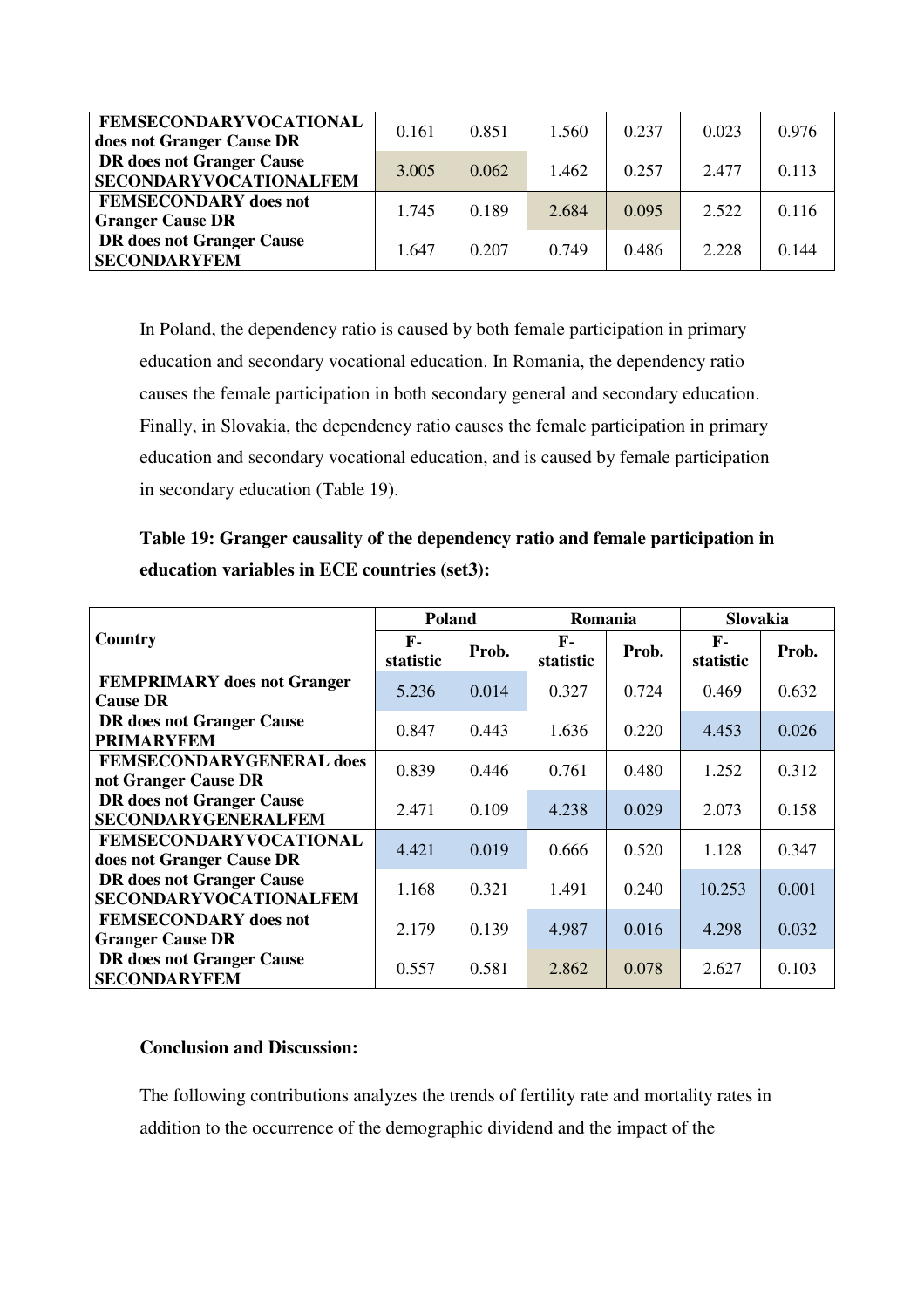| <b>FEMSECONDARYVOCATIONAL</b><br>does not Granger Cause DR | 0.161 | 0.851 | 1.560 | 0.237 | 0.023 | 0.976 |
|------------------------------------------------------------|-------|-------|-------|-------|-------|-------|
| DR does not Granger Cause<br><b>SECONDARYVOCATIONALFEM</b> | 3.005 | 0.062 | 1.462 | 0.257 | 2.477 | 0.113 |
| <b>FEMSECONDARY</b> does not<br><b>Granger Cause DR</b>    | 1.745 | 0.189 | 2.684 | 0.095 | 2.522 | 0.116 |
| <b>DR</b> does not Granger Cause<br><b>SECONDARYFEM</b>    | 1.647 | 0.207 | 0.749 | 0.486 | 2.228 | 0.144 |

In Poland, the dependency ratio is caused by both female participation in primary education and secondary vocational education. In Romania, the dependency ratio causes the female participation in both secondary general and secondary education. Finally, in Slovakia, the dependency ratio causes the female participation in primary education and secondary vocational education, and is caused by female participation in secondary education (Table 19).

### **Table 19: Granger causality of the dependency ratio and female participation in education variables in ECE countries (set3):**

|                                                                   | <b>Poland</b>             |       | Romania         |       | <b>Slovakia</b>           |       |
|-------------------------------------------------------------------|---------------------------|-------|-----------------|-------|---------------------------|-------|
| Country                                                           | $\mathbf{F}$<br>statistic | Prob. | F-<br>statistic | Prob. | $\mathbf{F}$<br>statistic | Prob. |
| <b>FEMPRIMARY</b> does not Granger<br><b>Cause DR</b>             | 5.236                     | 0.014 | 0.327           | 0.724 | 0.469                     | 0.632 |
| <b>DR</b> does not Granger Cause<br><b>PRIMARYFEM</b>             | 0.847                     | 0.443 | 1.636           | 0.220 | 4.453                     | 0.026 |
| <b>FEMSECONDARYGENERAL does</b><br>not Granger Cause DR           | 0.839                     | 0.446 | 0.761           | 0.480 | 1.252                     | 0.312 |
| <b>DR</b> does not Granger Cause<br><b>SECONDARYGENERALFEM</b>    | 2.471                     | 0.109 | 4.238           | 0.029 | 2.073                     | 0.158 |
| <b>FEMSECONDARYVOCATIONAL</b><br>does not Granger Cause DR        | 4.421                     | 0.019 | 0.666           | 0.520 | 1.128                     | 0.347 |
| <b>DR</b> does not Granger Cause<br><b>SECONDARYVOCATIONALFEM</b> | 1.168                     | 0.321 | 1.491           | 0.240 | 10.253                    | 0.001 |
| <b>FEMSECONDARY</b> does not<br><b>Granger Cause DR</b>           | 2.179                     | 0.139 | 4.987           | 0.016 | 4.298                     | 0.032 |
| <b>DR</b> does not Granger Cause<br><b>SECONDARYFEM</b>           | 0.557                     | 0.581 | 2.862           | 0.078 | 2.627                     | 0.103 |

### **Conclusion and Discussion:**

The following contributions analyzes the trends of fertility rate and mortality rates in addition to the occurrence of the demographic dividend and the impact of the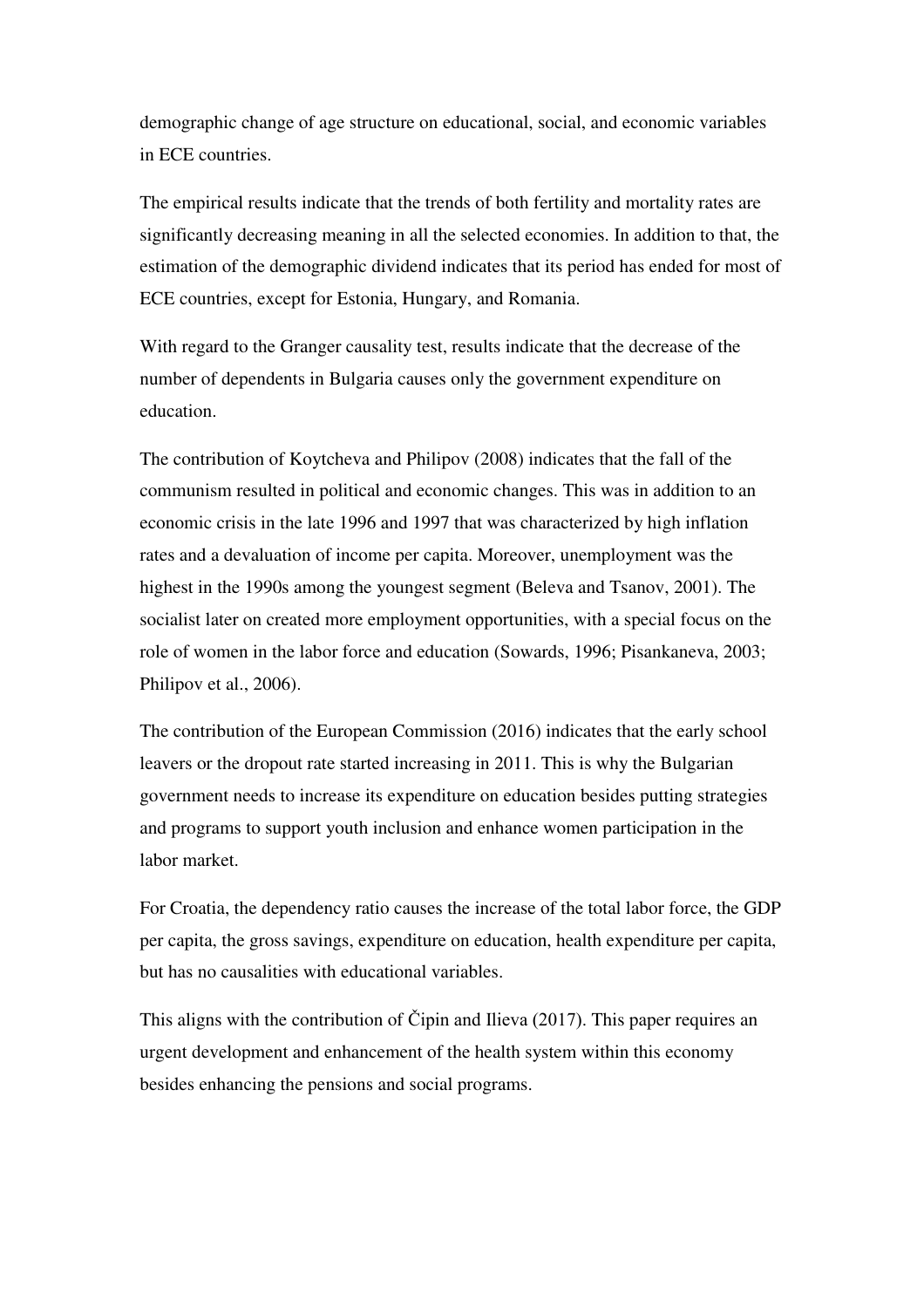demographic change of age structure on educational, social, and economic variables in ECE countries.

The empirical results indicate that the trends of both fertility and mortality rates are significantly decreasing meaning in all the selected economies. In addition to that, the estimation of the demographic dividend indicates that its period has ended for most of ECE countries, except for Estonia, Hungary, and Romania.

With regard to the Granger causality test, results indicate that the decrease of the number of dependents in Bulgaria causes only the government expenditure on education.

The contribution of Koytcheva and Philipov (2008) indicates that the fall of the communism resulted in political and economic changes. This was in addition to an economic crisis in the late 1996 and 1997 that was characterized by high inflation rates and a devaluation of income per capita. Moreover, unemployment was the highest in the 1990s among the youngest segment (Beleva and Tsanov, 2001). The socialist later on created more employment opportunities, with a special focus on the role of women in the labor force and education (Sowards, 1996; Pisankaneva, 2003; Philipov et al., 2006).

The contribution of the European Commission (2016) indicates that the early school leavers or the dropout rate started increasing in 2011. This is why the Bulgarian government needs to increase its expenditure on education besides putting strategies and programs to support youth inclusion and enhance women participation in the labor market.

For Croatia, the dependency ratio causes the increase of the total labor force, the GDP per capita, the gross savings, expenditure on education, health expenditure per capita, but has no causalities with educational variables.

This aligns with the contribution of Čipin and Ilieva (2017). This paper requires an urgent development and enhancement of the health system within this economy besides enhancing the pensions and social programs.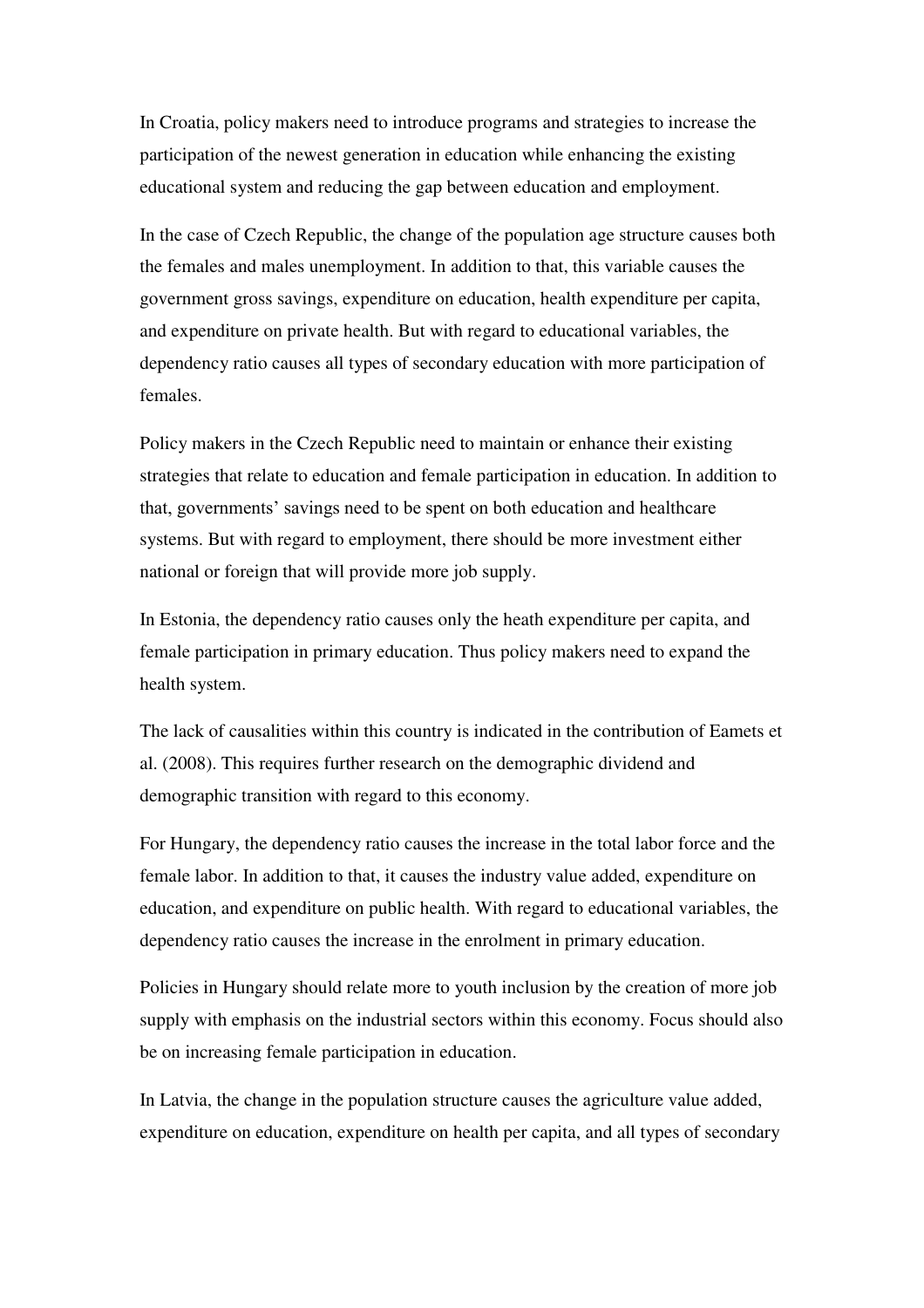In Croatia, policy makers need to introduce programs and strategies to increase the participation of the newest generation in education while enhancing the existing educational system and reducing the gap between education and employment.

In the case of Czech Republic, the change of the population age structure causes both the females and males unemployment. In addition to that, this variable causes the government gross savings, expenditure on education, health expenditure per capita, and expenditure on private health. But with regard to educational variables, the dependency ratio causes all types of secondary education with more participation of females.

Policy makers in the Czech Republic need to maintain or enhance their existing strategies that relate to education and female participation in education. In addition to that, governments' savings need to be spent on both education and healthcare systems. But with regard to employment, there should be more investment either national or foreign that will provide more job supply.

In Estonia, the dependency ratio causes only the heath expenditure per capita, and female participation in primary education. Thus policy makers need to expand the health system.

The lack of causalities within this country is indicated in the contribution of Eamets et al. (2008). This requires further research on the demographic dividend and demographic transition with regard to this economy.

For Hungary, the dependency ratio causes the increase in the total labor force and the female labor. In addition to that, it causes the industry value added, expenditure on education, and expenditure on public health. With regard to educational variables, the dependency ratio causes the increase in the enrolment in primary education.

Policies in Hungary should relate more to youth inclusion by the creation of more job supply with emphasis on the industrial sectors within this economy. Focus should also be on increasing female participation in education.

In Latvia, the change in the population structure causes the agriculture value added, expenditure on education, expenditure on health per capita, and all types of secondary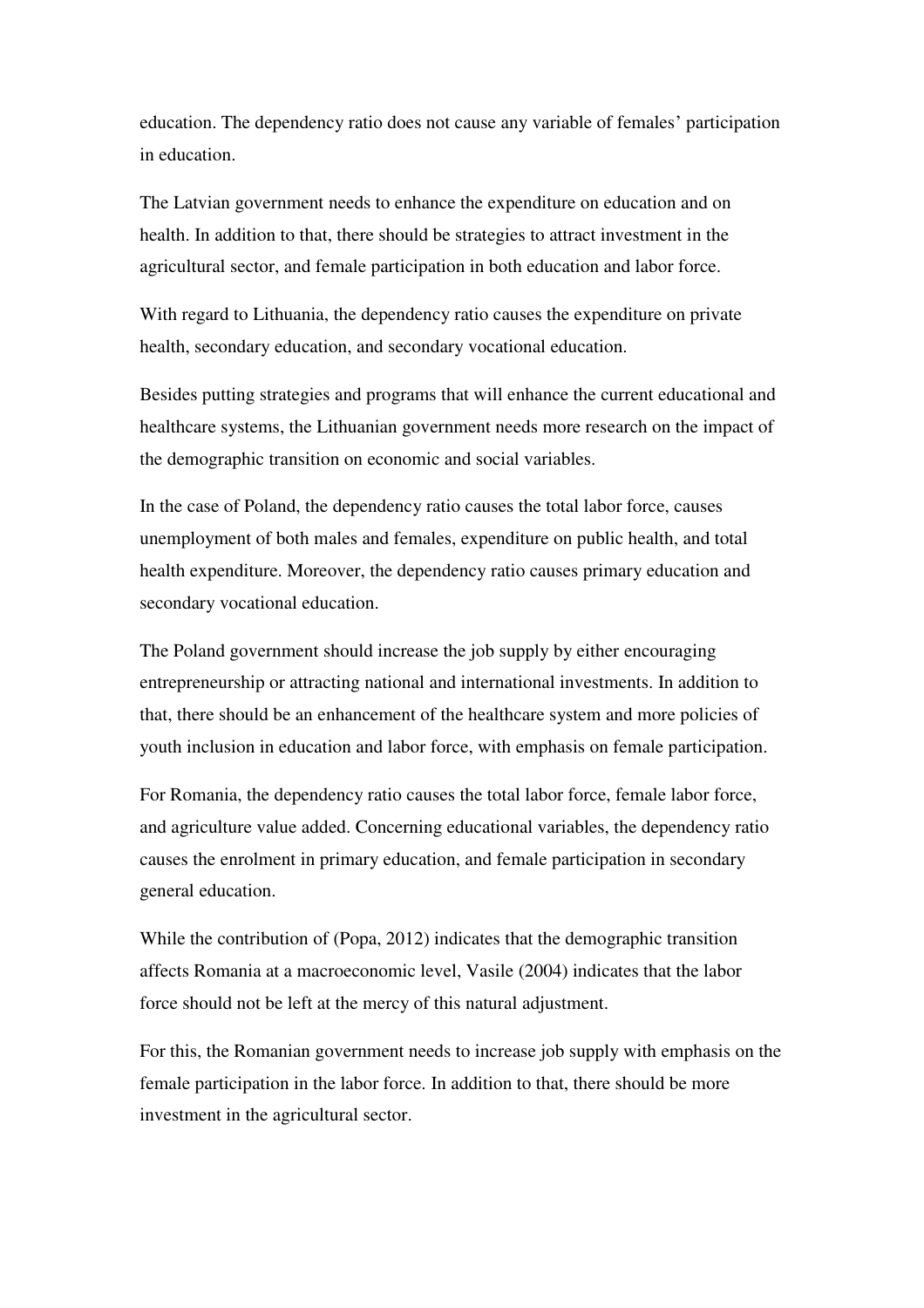education. The dependency ratio does not cause any variable of females' participation in education.

The Latvian government needs to enhance the expenditure on education and on health. In addition to that, there should be strategies to attract investment in the agricultural sector, and female participation in both education and labor force.

With regard to Lithuania, the dependency ratio causes the expenditure on private health, secondary education, and secondary vocational education.

Besides putting strategies and programs that will enhance the current educational and healthcare systems, the Lithuanian government needs more research on the impact of the demographic transition on economic and social variables.

In the case of Poland, the dependency ratio causes the total labor force, causes unemployment of both males and females, expenditure on public health, and total health expenditure. Moreover, the dependency ratio causes primary education and secondary vocational education.

The Poland government should increase the job supply by either encouraging entrepreneurship or attracting national and international investments. In addition to that, there should be an enhancement of the healthcare system and more policies of youth inclusion in education and labor force, with emphasis on female participation.

For Romania, the dependency ratio causes the total labor force, female labor force, and agriculture value added. Concerning educational variables, the dependency ratio causes the enrolment in primary education, and female participation in secondary general education.

While the contribution of (Popa, 2012) indicates that the demographic transition affects Romania at a macroeconomic level, Vasile (2004) indicates that the labor force should not be left at the mercy of this natural adjustment.

For this, the Romanian government needs to increase job supply with emphasis on the female participation in the labor force. In addition to that, there should be more investment in the agricultural sector.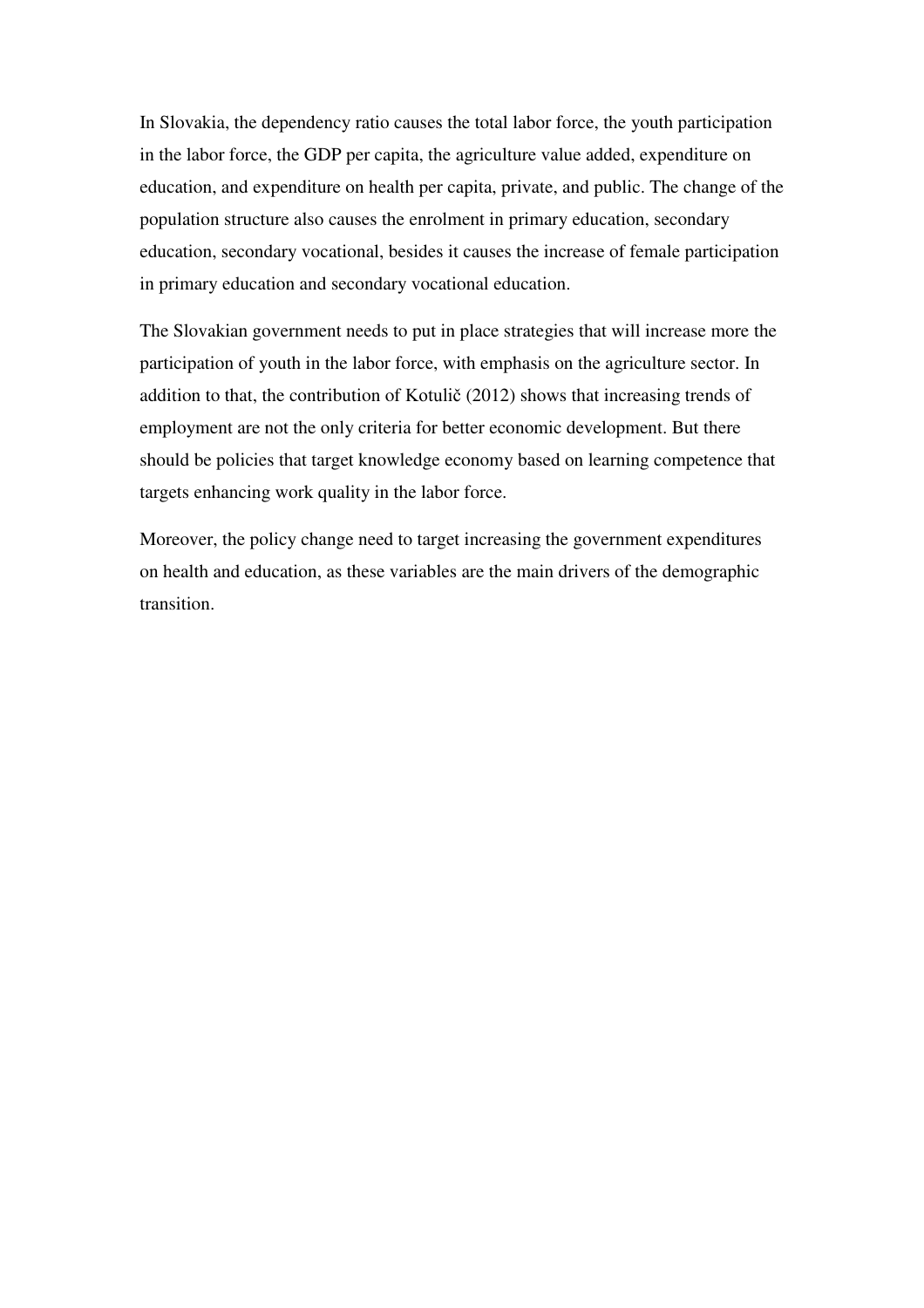In Slovakia, the dependency ratio causes the total labor force, the youth participation in the labor force, the GDP per capita, the agriculture value added, expenditure on education, and expenditure on health per capita, private, and public. The change of the population structure also causes the enrolment in primary education, secondary education, secondary vocational, besides it causes the increase of female participation in primary education and secondary vocational education.

The Slovakian government needs to put in place strategies that will increase more the participation of youth in the labor force, with emphasis on the agriculture sector. In addition to that, the contribution of Kotulič (2012) shows that increasing trends of employment are not the only criteria for better economic development. But there should be policies that target knowledge economy based on learning competence that targets enhancing work quality in the labor force.

Moreover, the policy change need to target increasing the government expenditures on health and education, as these variables are the main drivers of the demographic transition.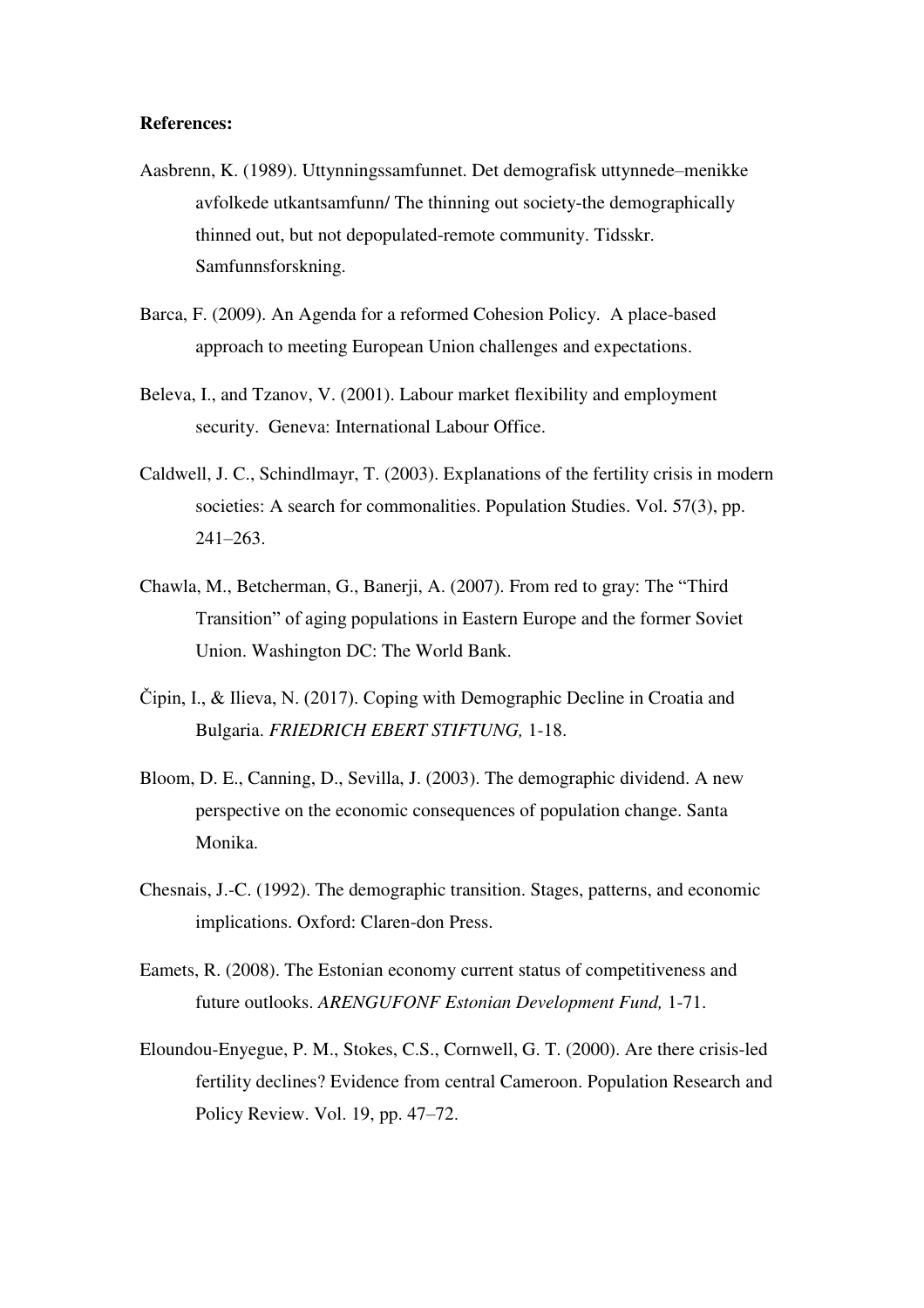#### **References:**

- Aasbrenn, K. (1989). Uttynningssamfunnet. Det demografisk uttynnede–menikke avfolkede utkantsamfunn/ The thinning out society-the demographically thinned out, but not depopulated-remote community. Tidsskr. Samfunnsforskning.
- Barca, F. (2009). An Agenda for a reformed Cohesion Policy. A place-based approach to meeting European Union challenges and expectations.
- Beleva, I., and Tzanov, V. (2001). Labour market flexibility and employment security. Geneva: International Labour Office.
- Caldwell, J. C., Schindlmayr, T. (2003). Explanations of the fertility crisis in modern societies: A search for commonalities. Population Studies. Vol. 57(3), pp. 241–263.
- Chawla, M., Betcherman, G., Banerji, A. (2007). From red to gray: The "Third Transition" of aging populations in Eastern Europe and the former Soviet Union. Washington DC: The World Bank.
- Čipin, I., & Ilieva, N. (2017). Coping with Demographic Decline in Croatia and Bulgaria. *FRIEDRICH EBERT STIFTUNG,* 1-18.
- Bloom, D. E., Canning, D., Sevilla, J. (2003). The demographic dividend. A new perspective on the economic consequences of population change. Santa Monika.
- Chesnais, J.-C. (1992). The demographic transition. Stages, patterns, and economic implications. Oxford: Claren-don Press.
- Eamets, R. (2008). The Estonian economy current status of competitiveness and future outlooks. *ARENGUFONF Estonian Development Fund,* 1-71.
- Eloundou-Enyegue, P. M., Stokes, C.S., Cornwell, G. T. (2000). Are there crisis-led fertility declines? Evidence from central Cameroon. Population Research and Policy Review. Vol. 19, pp. 47–72.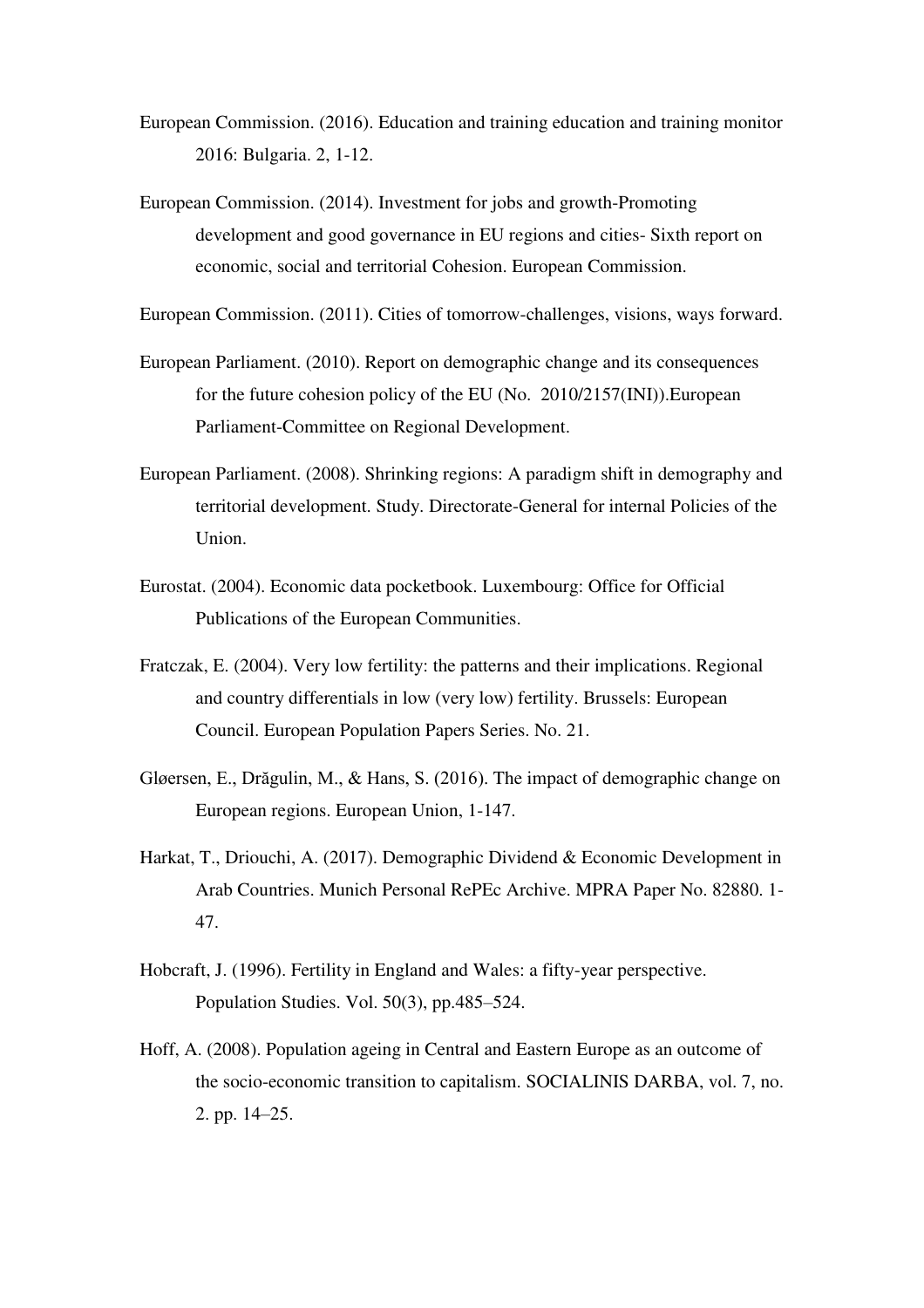- European Commission. (2016). Education and training education and training monitor 2016: Bulgaria. 2, 1-12.
- European Commission. (2014). Investment for jobs and growth-Promoting development and good governance in EU regions and cities- Sixth report on economic, social and territorial Cohesion. European Commission.

European Commission. (2011). Cities of tomorrow-challenges, visions, ways forward.

- European Parliament. (2010). Report on demographic change and its consequences for the future cohesion policy of the EU (No. 2010/2157(INI)).European Parliament-Committee on Regional Development.
- European Parliament. (2008). Shrinking regions: A paradigm shift in demography and territorial development. Study. Directorate-General for internal Policies of the Union.
- Eurostat. (2004). Economic data pocketbook. Luxembourg: Office for Official Publications of the European Communities.
- Fratczak, E. (2004). Very low fertility: the patterns and their implications. Regional and country differentials in low (very low) fertility. Brussels: European Council. European Population Papers Series. No. 21.
- Gløersen, E., Drăgulin, M., & Hans, S. (2016). The impact of demographic change on European regions. European Union, 1-147.
- Harkat, T., Driouchi, A. (2017). Demographic Dividend & Economic Development in Arab Countries. Munich Personal RePEc Archive. MPRA Paper No. 82880. 1- 47.
- Hobcraft, J. (1996). Fertility in England and Wales: a fifty-year perspective. Population Studies. Vol. 50(3), pp.485–524.
- Hoff, A. (2008). Population ageing in Central and Eastern Europe as an outcome of the socio-economic transition to capitalism. SOCIALINIS DARBA, vol. 7, no. 2. pp. 14–25.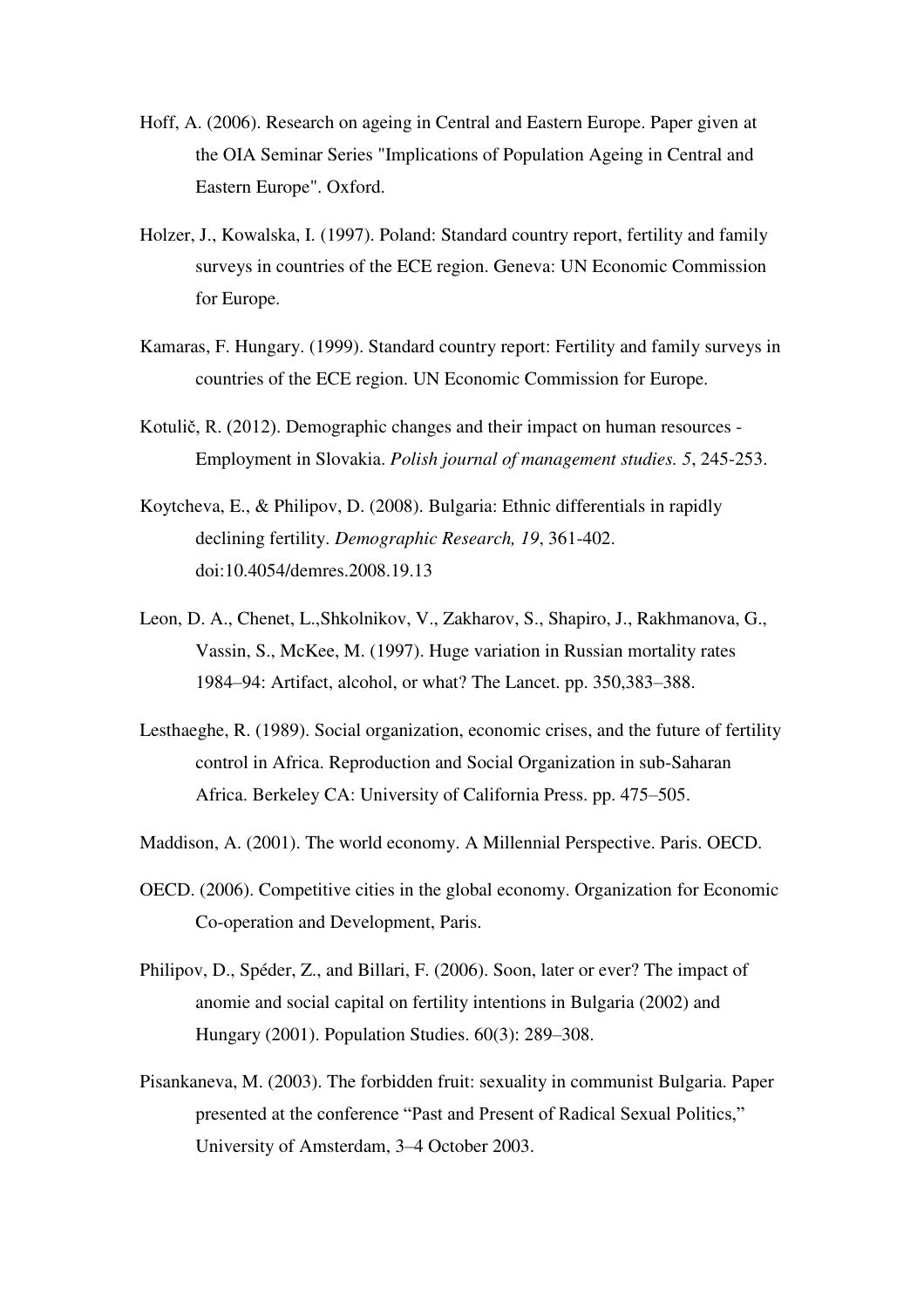- Hoff, A. (2006). Research on ageing in Central and Eastern Europe. Paper given at the OIA Seminar Series "Implications of Population Ageing in Central and Eastern Europe". Oxford.
- Holzer, J., Kowalska, I. (1997). Poland: Standard country report, fertility and family surveys in countries of the ECE region. Geneva: UN Economic Commission for Europe.
- Kamaras, F. Hungary. (1999). Standard country report: Fertility and family surveys in countries of the ECE region. UN Economic Commission for Europe.
- Kotulič, R. (2012). Demographic changes and their impact on human resources Employment in Slovakia. *Polish journal of management studies. 5*, 245-253.
- Koytcheva, E., & Philipov, D. (2008). Bulgaria: Ethnic differentials in rapidly declining fertility. *Demographic Research, 19*, 361-402. doi:10.4054/demres.2008.19.13
- Leon, D. A., Chenet, L.,Shkolnikov, V., Zakharov, S., Shapiro, J., Rakhmanova, G., Vassin, S., McKee, M. (1997). Huge variation in Russian mortality rates 1984–94: Artifact, alcohol, or what? The Lancet. pp. 350,383–388.
- Lesthaeghe, R. (1989). Social organization, economic crises, and the future of fertility control in Africa. Reproduction and Social Organization in sub-Saharan Africa. Berkeley CA: University of California Press. pp. 475–505.
- Maddison, A. (2001). The world economy. A Millennial Perspective. Paris. OECD.
- OECD. (2006). Competitive cities in the global economy. Organization for Economic Co-operation and Development, Paris.
- Philipov, D., Spéder, Z., and Billari, F. (2006). Soon, later or ever? The impact of anomie and social capital on fertility intentions in Bulgaria (2002) and Hungary (2001). Population Studies. 60(3): 289–308.
- Pisankaneva, M. (2003). The forbidden fruit: sexuality in communist Bulgaria. Paper presented at the conference "Past and Present of Radical Sexual Politics," University of Amsterdam, 3–4 October 2003.